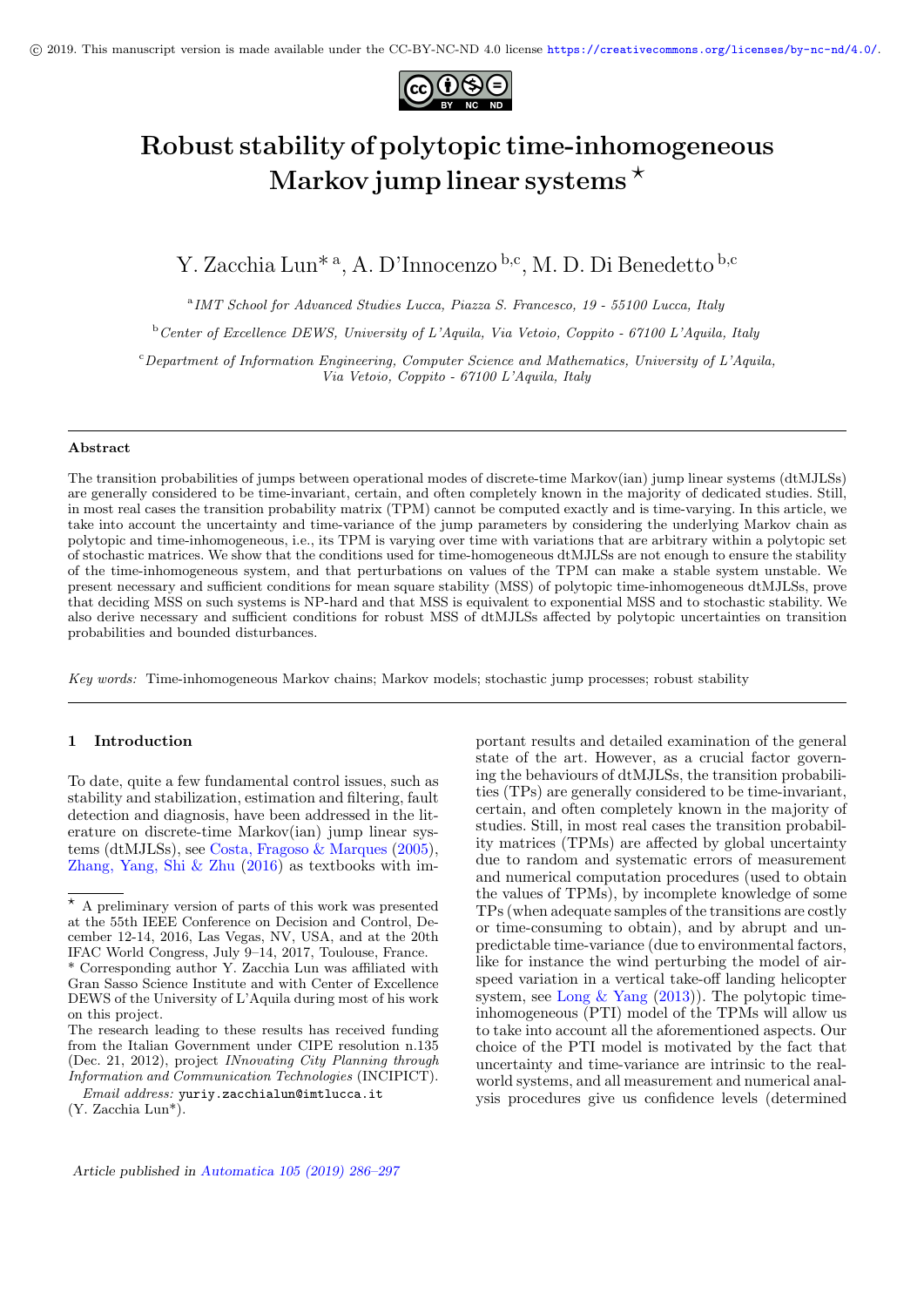

# Robust stability of polytopic time-inhomogeneous Markov jump linear systems  $\star$

Y. Zacchia Lun<sup>\*</sup><sup>a</sup>, A. D'Innocenzo <sup>b,c</sup>, M. D. Di Benedetto <sup>b,c</sup>

<sup>a</sup> IMT School for Advanced Studies Lucca, Piazza S. Francesco, 19 - 55100 Lucca, Italy

<sup>b</sup>Center of Excellence DEWS, University of L'Aquila, Via Vetoio, Coppito - 67100 L'Aquila, Italy

 $c$ Department of Information Engineering, Computer Science and Mathematics, University of L'Aquila, Via Vetoio, Coppito - 67100 L'Aquila, Italy

#### Abstract

The transition probabilities of jumps between operational modes of discrete-time Markov(ian) jump linear systems (dtMJLSs) are generally considered to be time-invariant, certain, and often completely known in the majority of dedicated studies. Still, in most real cases the transition probability matrix (TPM) cannot be computed exactly and is time-varying. In this article, we take into account the uncertainty and time-variance of the jump parameters by considering the underlying Markov chain as polytopic and time-inhomogeneous, i.e., its TPM is varying over time with variations that are arbitrary within a polytopic set of stochastic matrices. We show that the conditions used for time-homogeneous dtMJLSs are not enough to ensure the stability of the time-inhomogeneous system, and that perturbations on values of the TPM can make a stable system unstable. We present necessary and sufficient conditions for mean square stability (MSS) of polytopic time-inhomogeneous dtMJLSs, prove that deciding MSS on such systems is NP-hard and that MSS is equivalent to exponential MSS and to stochastic stability. We also derive necessary and sufficient conditions for robust MSS of dtMJLSs affected by polytopic uncertainties on transition probabilities and bounded disturbances.

Key words: Time-inhomogeneous Markov chains; Markov models; stochastic jump processes; robust stability

#### 1 Introduction

To date, quite a few fundamental control issues, such as stability and stabilization, estimation and filtering, fault detection and diagnosis, have been addressed in the literature on discrete-time Markov(ian) jump linear systems (dtMJLSs), see [Costa, Fragoso & Marques](#page-14-0) [\(2005\)](#page-14-0), [Zhang, Yang, Shi & Zhu](#page-14-1) [\(2016\)](#page-14-1) as textbooks with im-

portant results and detailed examination of the general state of the art. However, as a crucial factor governing the behaviours of dtMJLSs, the transition probabilities (TPs) are generally considered to be time-invariant, certain, and often completely known in the majority of studies. Still, in most real cases the transition probability matrices (TPMs) are affected by global uncertainty due to random and systematic errors of measurement and numerical computation procedures (used to obtain the values of TPMs), by incomplete knowledge of some TPs (when adequate samples of the transitions are costly or time-consuming to obtain), and by abrupt and unpredictable time-variance (due to environmental factors, like for instance the wind perturbing the model of airspeed variation in a vertical take-off landing helicopter system, see Long  $\&$  Yang [\(2013\)](#page-14-2)). The polytopic timeinhomogeneous (PTI) model of the TPMs will allow us to take into account all the aforementioned aspects. Our choice of the PTI model is motivated by the fact that uncertainty and time-variance are intrinsic to the realworld systems, and all measurement and numerical analysis procedures give us confidence levels (determined

<sup>?</sup> A preliminary version of parts of this work was presented at the 55th IEEE Conference on Decision and Control, December 12-14, 2016, Las Vegas, NV, USA, and at the 20th IFAC World Congress, July 9–14, 2017, Toulouse, France.

Corresponding author Y. Zacchia Lun was affiliated with Gran Sasso Science Institute and with Center of Excellence DEWS of the University of L'Aquila during most of his work on this project.

The research leading to these results has received funding from the Italian Government under CIPE resolution n.135 (Dec. 21, 2012), project INnovating City Planning through Information and Communication Technologies (INCIPICT).

Email address: yuriy.zacchialun@imtlucca.it (Y. Zacchia Lun\*).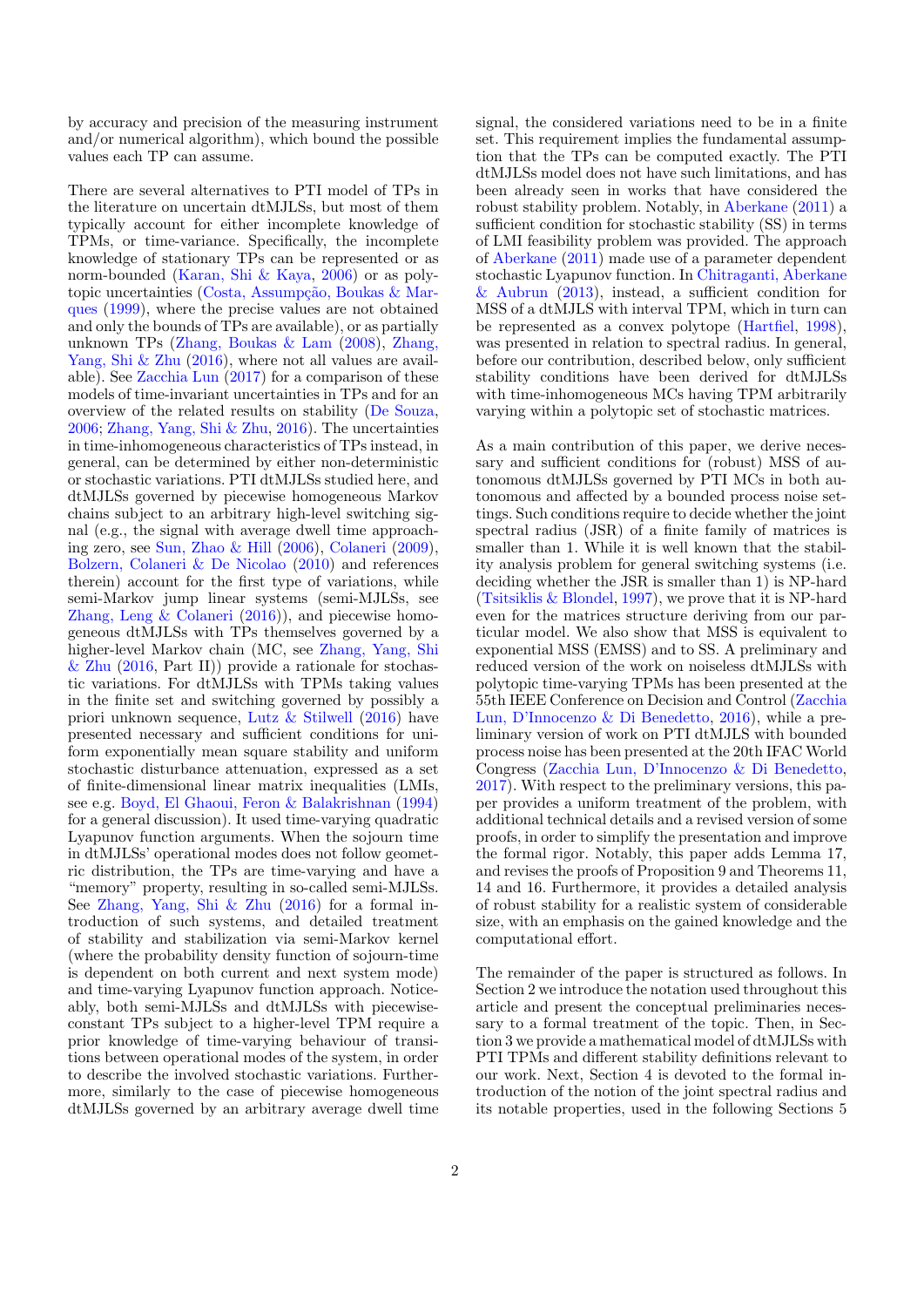by accuracy and precision of the measuring instrument and/or numerical algorithm), which bound the possible values each TP can assume.

There are several alternatives to PTI model of TPs in the literature on uncertain dtMJLSs, but most of them typically account for either incomplete knowledge of TPMs, or time-variance. Specifically, the incomplete knowledge of stationary TPs can be represented or as norm-bounded [\(Karan, Shi & Kaya,](#page-14-3) [2006\)](#page-14-3) or as polytopic uncertainties (Costa, Assumpção, Boukas & Mar[ques](#page-13-0) [\(1999\)](#page-13-0), where the precise values are not obtained and only the bounds of TPs are available), or as partially unknown TPs [\(Zhang, Boukas & Lam](#page-14-4) [\(2008\)](#page-14-4), [Zhang,](#page-14-1) [Yang, Shi & Zhu](#page-14-1) [\(2016\)](#page-14-1), where not all values are available). See [Zacchia Lun](#page-14-5) [\(2017\)](#page-14-5) for a comparison of these models of time-invariant uncertainties in TPs and for an overview of the related results on stability [\(De Souza,](#page-14-6) [2006;](#page-14-6) [Zhang, Yang, Shi & Zhu,](#page-14-1) [2016\)](#page-14-1). The uncertainties in time-inhomogeneous characteristics of TPs instead, in general, can be determined by either non-deterministic or stochastic variations. PTI dtMJLSs studied here, and dtMJLSs governed by piecewise homogeneous Markov chains subject to an arbitrary high-level switching signal (e.g., the signal with average dwell time approaching zero, see [Sun, Zhao & Hill](#page-14-7) [\(2006\)](#page-14-7), [Colaneri](#page-13-1) [\(2009\)](#page-13-1), [Bolzern, Colaneri & De Nicolao](#page-13-2) [\(2010\)](#page-13-2) and references therein) account for the first type of variations, while semi-Markov jump linear systems (semi-MJLSs, see Zhang, Leng  $\&$  Colaneri [\(2016\)](#page-14-8)), and piecewise homogeneous dtMJLSs with TPs themselves governed by a higher-level Markov chain (MC, see [Zhang, Yang, Shi](#page-14-1) [& Zhu](#page-14-1)  $(2016, Part II)$  $(2016, Part II)$  provide a rationale for stochastic variations. For dtMJLSs with TPMs taking values in the finite set and switching governed by possibly a priori unknown sequence, [Lutz & Stilwell](#page-14-9) [\(2016\)](#page-14-9) have presented necessary and sufficient conditions for uniform exponentially mean square stability and uniform stochastic disturbance attenuation, expressed as a set of finite-dimensional linear matrix inequalities (LMIs, see e.g. [Boyd, El Ghaoui, Feron & Balakrishnan](#page-13-3) [\(1994\)](#page-13-3) for a general discussion). It used time-varying quadratic Lyapunov function arguments. When the sojourn time in dtMJLSs' operational modes does not follow geometric distribution, the TPs are time-varying and have a "memory" property, resulting in so-called semi-MJLSs. See Zhang, Yang, Shi  $&$  Zhu [\(2016\)](#page-14-1) for a formal introduction of such systems, and detailed treatment of stability and stabilization via semi-Markov kernel (where the probability density function of sojourn-time is dependent on both current and next system mode) and time-varying Lyapunov function approach. Noticeably, both semi-MJLSs and dtMJLSs with piecewiseconstant TPs subject to a higher-level TPM require a prior knowledge of time-varying behaviour of transitions between operational modes of the system, in order to describe the involved stochastic variations. Furthermore, similarly to the case of piecewise homogeneous dtMJLSs governed by an arbitrary average dwell time

2

signal, the considered variations need to be in a finite set. This requirement implies the fundamental assumption that the TPs can be computed exactly. The PTI dtMJLSs model does not have such limitations, and has been already seen in works that have considered the robust stability problem. Notably, in [Aberkane](#page-13-4) [\(2011\)](#page-13-4) a sufficient condition for stochastic stability (SS) in terms of LMI feasibility problem was provided. The approach of [Aberkane](#page-13-4) [\(2011\)](#page-13-4) made use of a parameter dependent stochastic Lyapunov function. In [Chitraganti, Aberkane](#page-13-5) [& Aubrun](#page-13-5) [\(2013\)](#page-13-5), instead, a sufficient condition for MSS of a dtMJLS with interval TPM, which in turn can be represented as a convex polytope [\(Hartfiel,](#page-14-10) [1998\)](#page-14-10), was presented in relation to spectral radius. In general, before our contribution, described below, only sufficient stability conditions have been derived for dtMJLSs with time-inhomogeneous MCs having TPM arbitrarily varying within a polytopic set of stochastic matrices.

As a main contribution of this paper, we derive necessary and sufficient conditions for (robust) MSS of autonomous dtMJLSs governed by PTI MCs in both autonomous and affected by a bounded process noise settings. Such conditions require to decide whether the joint spectral radius (JSR) of a finite family of matrices is smaller than 1. While it is well known that the stability analysis problem for general switching systems (i.e. deciding whether the JSR is smaller than 1) is NP-hard [\(Tsitsiklis & Blondel,](#page-14-11) [1997\)](#page-14-11), we prove that it is NP-hard even for the matrices structure deriving from our particular model. We also show that MSS is equivalent to exponential MSS (EMSS) and to SS. A preliminary and reduced version of the work on noiseless dtMJLSs with polytopic time-varying TPMs has been presented at the 55th IEEE Conference on Decision and Control [\(Zacchia](#page-14-12) [Lun, D'Innocenzo & Di Benedetto,](#page-14-12) [2016\)](#page-14-12), while a preliminary version of work on PTI dtMJLS with bounded process noise has been presented at the 20th IFAC World Congress [\(Zacchia Lun, D'Innocenzo & Di Benedetto,](#page-14-13) [2017\)](#page-14-13). With respect to the preliminary versions, this paper provides a uniform treatment of the problem, with additional technical details and a revised version of some proofs, in order to simplify the presentation and improve the formal rigor. Notably, this paper adds Lemma 17, and revises the proofs of Proposition 9 and Theorems 11, 14 and 16. Furthermore, it provides a detailed analysis of robust stability for a realistic system of considerable size, with an emphasis on the gained knowledge and the computational effort.

The remainder of the paper is structured as follows. In Section 2 we introduce the notation used throughout this article and present the conceptual preliminaries necessary to a formal treatment of the topic. Then, in Section 3 we provide a mathematical model of dtMJLSs with PTI TPMs and different stability definitions relevant to our work. Next, Section 4 is devoted to the formal introduction of the notion of the joint spectral radius and its notable properties, used in the following Sections 5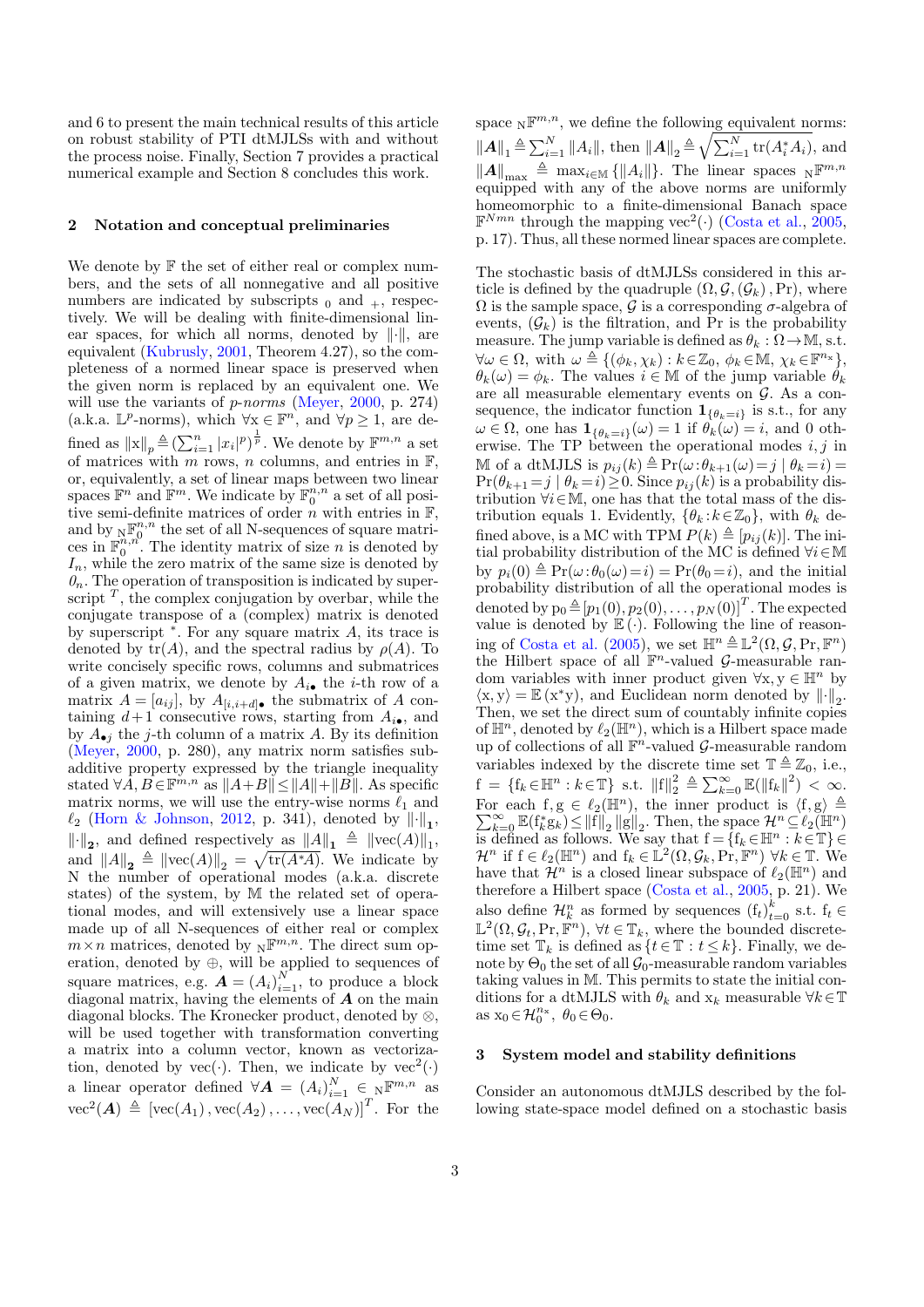and 6 to present the main technical results of this article on robust stability of PTI dtMJLSs with and without the process noise. Finally, Section 7 provides a practical numerical example and Section 8 concludes this work.

#### 2 Notation and conceptual preliminaries

We denote by  $\mathbb F$  the set of either real or complex numbers, and the sets of all nonnegative and all positive numbers are indicated by subscripts  $_0$  and  $_+$ , respectively. We will be dealing with finite-dimensional linear spaces, for which all norms, denoted by  $\|\cdot\|$ , are equivalent [\(Kubrusly,](#page-14-14) [2001,](#page-14-14) Theorem 4.27), so the completeness of a normed linear space is preserved when the given norm is replaced by an equivalent one. We will use the variants of *p-norms* [\(Meyer,](#page-14-15) [2000,](#page-14-15) p. 274) (a.k.a.  $\mathbb{L}^p$ -norms), which  $\forall x \in \mathbb{F}^n$ , and  $\forall p \geq 1$ , are defined as  $||x||_p \triangleq (\sum_{i=1}^n |x_i|^p)^{\frac{1}{p}}$ . We denote by  $\mathbb{F}^{m,n}$  a set of matrices with m rows, n columns, and entries in  $\mathbb{F}$ , or, equivalently, a set of linear maps between two linear spaces  $\mathbb{F}^n$  and  $\mathbb{F}^m$ . We indicate by  $\mathbb{F}_0^{n,n}$  a set of all positive semi-definite matrices of order  $n$  with entries in  $\mathbb{F}$ , and by  $\mathbb{N}_0^{\mathbb{F}_0^{n,n}}$  the set of all N-sequences of square matrices in  $\mathbb{F}_0^{n,n'}$ . The identity matrix of size *n* is denoted by  $I_n$ , while the zero matrix of the same size is denoted by  $\theta_n$ . The operation of transposition is indicated by superscript  $<sup>T</sup>$ , the complex conjugation by overbar, while the</sup> conjugate transpose of a (complex) matrix is denoted by superscript  $*$ . For any square matrix  $A$ , its trace is denoted by  $tr(A)$ , and the spectral radius by  $\rho(A)$ . To write concisely specific rows, columns and submatrices of a given matrix, we denote by  $A_{i\bullet}$  the *i*-th row of a matrix  $A = [a_{ij}]$ , by  $A_{[i,i+d]}$  the submatrix of A containing  $d+1$  consecutive rows, starting from  $A_{i\bullet}$ , and by  $A_{\bullet i}$  the *j*-th column of a matrix A. By its definition [\(Meyer,](#page-14-15) [2000,](#page-14-15) p. 280), any matrix norm satisfies subadditive property expressed by the triangle inequality stated  $\forall A, B \in \mathbb{F}^{m,n}$  as  $||A+B|| \leq ||A|| + ||B||$ . As specific matrix norms, we will use the entry-wise norms  $\ell_1$  and  $\ell_2$  [\(Horn & Johnson,](#page-14-16) [2012,](#page-14-16) p. 341), denoted by  $\left\|\cdot\right\|_1$ ,  $\left\Vert \cdot\right\Vert _{2}$ , and defined respectively as  $\left\Vert A\right\Vert _{1}\ \triangleq\ \left\Vert \text{vec}(A)\right\Vert _{1},$ and  $||A||_2 \triangleq ||\text{vec}(A)||_2 = \sqrt{\text{tr}(A^*A)}$ . We indicate by N the number of operational modes (a.k.a. discrete states) of the system, by M the related set of operational modes, and will extensively use a linear space made up of all N-sequences of either real or complex  $m \times n$  matrices, denoted by  $_N \mathbb{F}^{m,n}$ . The direct sum operation, denoted by ⊕, will be applied to sequences of square matrices, e.g.  $\boldsymbol{A} = (A_i)_{i=1}^N$ , to produce a block diagonal matrix, having the elements of  $A$  on the main diagonal blocks. The Kronecker product, denoted by ⊗, will be used together with transformation converting a matrix into a column vector, known as vectorization, denoted by vec(.). Then, we indicate by  $vec^2(\cdot)$ a linear operator defined  $\forall A = (A_i)_{i=1}^N \in N^{\mathbb{F}^{m,n}}$  as  $\mathrm{vec}^2(\boldsymbol{A}) \triangleq [\mathrm{vec}(A_1), \mathrm{vec}(A_2), \ldots, \mathrm{vec}(A_N)]^T$ . For the

3

space  $_N \mathbb{F}^{m,n}$ , we define the following equivalent norms:  $||A||_1 \triangleq \sum_{i=1}^N ||A_i||$ , then  $||A||_2 \triangleq \sqrt{\sum_{i=1}^N \text{tr}(A_i^* A_i)}$ , and  $||A||_{\max} \triangleq \max_{i \in \mathbb{M}} \{||A_i||\}.$  The linear spaces  $N^{m,n}$ equipped with any of the above norms are uniformly homeomorphic to a finite-dimensional Banach space  $\mathbb{F}^{Nmn}$  through the mapping vec<sup>2</sup>(.) [\(Costa et al.,](#page-14-0) [2005,](#page-14-0) p. 17). Thus, all these normed linear spaces are complete.

The stochastic basis of dtMJLSs considered in this article is defined by the quadruple  $(\Omega, \mathcal{G}, (\mathcal{G}_k), Pr)$ , where  $\Omega$  is the sample space,  $\mathcal G$  is a corresponding  $\sigma$ -algebra of events,  $(\mathcal{G}_k)$  is the filtration, and Pr is the probability measure. The jump variable is defined as  $\theta_k : \Omega \to \mathbb{M}$ , s.t.  $\forall \omega \in \Omega, \text{ with } \omega \triangleq \{(\phi_k, \chi_k) : k \in \mathbb{Z}_0, \phi_k \in \mathbb{M}, \chi_k \in \mathbb{F}^{n_\chi}\},\$  $\theta_k(\omega) = \phi_k$ . The values  $i \in \mathbb{M}$  of the jump variable  $\hat{\theta_k}$ are all measurable elementary events on  $G$ . As a consequence, the indicator function  $\mathbf{1}_{\{\theta_k=i\}}$  is s.t., for any  $\omega \in \Omega$ , one has  $\mathbf{1}_{\{\theta_k=i\}}(\omega) = 1$  if  $\theta_k(\omega) = i$ , and 0 otherwise. The TP between the operational modes  $i, j$  in M of a dtMJLS is  $p_{ij}(k) \triangleq Pr(\omega:\theta_{k+1}(\omega) = j | \theta_k = i)$  =  $Pr(\theta_{k+1} = j \mid \theta_k = i) \geq 0$ . Since  $p_{ij}(k)$  is a probability distribution  $\forall i \in \mathbb{M}$ , one has that the total mass of the distribution equals 1. Evidently,  $\{\theta_k : k \in \mathbb{Z}_0\}$ , with  $\theta_k$  defined above, is a MC with TPM  $P(k) \triangleq [p_{ij}(k)]$ . The initial probability distribution of the MC is defined  $\forall i \in \mathbb{M}$ by  $p_i(0) \triangleq Pr(\omega: \theta_0(\omega) = i) = Pr(\theta_0 = i)$ , and the initial probability distribution of all the operational modes is denoted by  $p_0 \triangleq [p_1(0), p_2(0), \ldots, p_N(0)]^T$ . The expected value is denoted by  $\mathbb{E}(\cdot)$ . Following the line of reason-ing of [Costa et al.](#page-14-0) [\(2005\)](#page-14-0), we set  $\mathbb{H}^n \triangleq \mathbb{L}^2(\Omega, \mathcal{G}, \Pr, \mathbb{F}^n)$ the Hilbert space of all  $\mathbb{F}^n$ -valued G-measurable random variables with inner product given  $\forall x, y \in \mathbb{H}^n$  by  $\langle x, y \rangle = \mathbb{E}(x^*y)$ , and Euclidean norm denoted by  $\lVert \cdot \rVert_2$ . Then, we set the direct sum of countably infinite copies of  $\mathbb{H}^n$ , denoted by  $\ell_2(\mathbb{H}^n)$ , which is a Hilbert space made up of collections of all  $\mathbb{F}^n$ -valued  $\mathcal{G}$ -measurable random variables indexed by the discrete time set  $\mathbb{T} \triangleq \mathbb{Z}_0$ , i.e.,  $f = \{f_k \in \mathbb{H}^n : k \in \mathbb{T}\}\$  s.t.  $||f||_2^2 \triangleq \sum_{k=0}^{\infty} \mathbb{E}(||f_k||^2) < \infty$ . For each  $f, g \in \ell_2(\mathbb{H}^n)$ , the inner product is  $\langle f, g \rangle \triangleq \sum_{k=0}^{\infty} \mathbb{E}(f_k^* g_k) \leq ||f||_2 ||g||_2$ . Then, the space  $\mathcal{H}^n \subseteq \ell_2(\mathbb{H}^n)$  $\sum_{k=0}^{\infty} \mathbb{E}(\mathbf{f}_k^* \mathbf{g}_k) \leq ||\mathbf{f}||_2 ||\mathbf{g}||_2.$  Then, the space  $\mathcal{H}^n \subseteq \ell_2(\mathbb{H}^n)$ is defined as follows. We say that  $f = \{f_k \in \mathbb{H}^n : k \in \mathbb{T}\}\in$  $\mathcal{H}^n$  if  $f \in \ell_2(\mathbb{H}^n)$  and  $f_k \in \mathbb{L}^2(\Omega, \mathcal{G}_k, \Pr^{\cdot}, \mathbb{F}^n) \ \forall k \in \mathbb{T}$ . We have that  $\mathcal{H}^n$  is a closed linear subspace of  $\ell_2(\mathbb{H}^n)$  and therefore a Hilbert space [\(Costa et al.,](#page-14-0) [2005,](#page-14-0) p. 21). We also define  $\mathcal{H}_k^n$  as formed by sequences  $(f_t)_{t=0}^k$  s.t.  $f_t \in \mathbb{L}^2(\Omega, \mathcal{G}_t, \Pr, \mathbb{F}^n)$ ,  $\forall t \in \mathbb{T}_k$ , where the bounded discretetime set  $\mathbb{T}_k$  is defined as  $\{t \in \mathbb{T} : t \leq k\}$ . Finally, we denote by  $\Theta_0$  the set of all  $\mathcal{G}_0$ -measurable random variables taking values in M. This permits to state the initial conditions for a dtMJLS with  $\theta_k$  and  $x_k$  measurable  $\forall k \in \mathbb{T}$ as  $x_0 \in \mathcal{H}_0^{n_x}$ ,  $\theta_0 \in \Theta_0$ .

## 3 System model and stability definitions

Consider an autonomous dtMJLS described by the following state-space model defined on a stochastic basis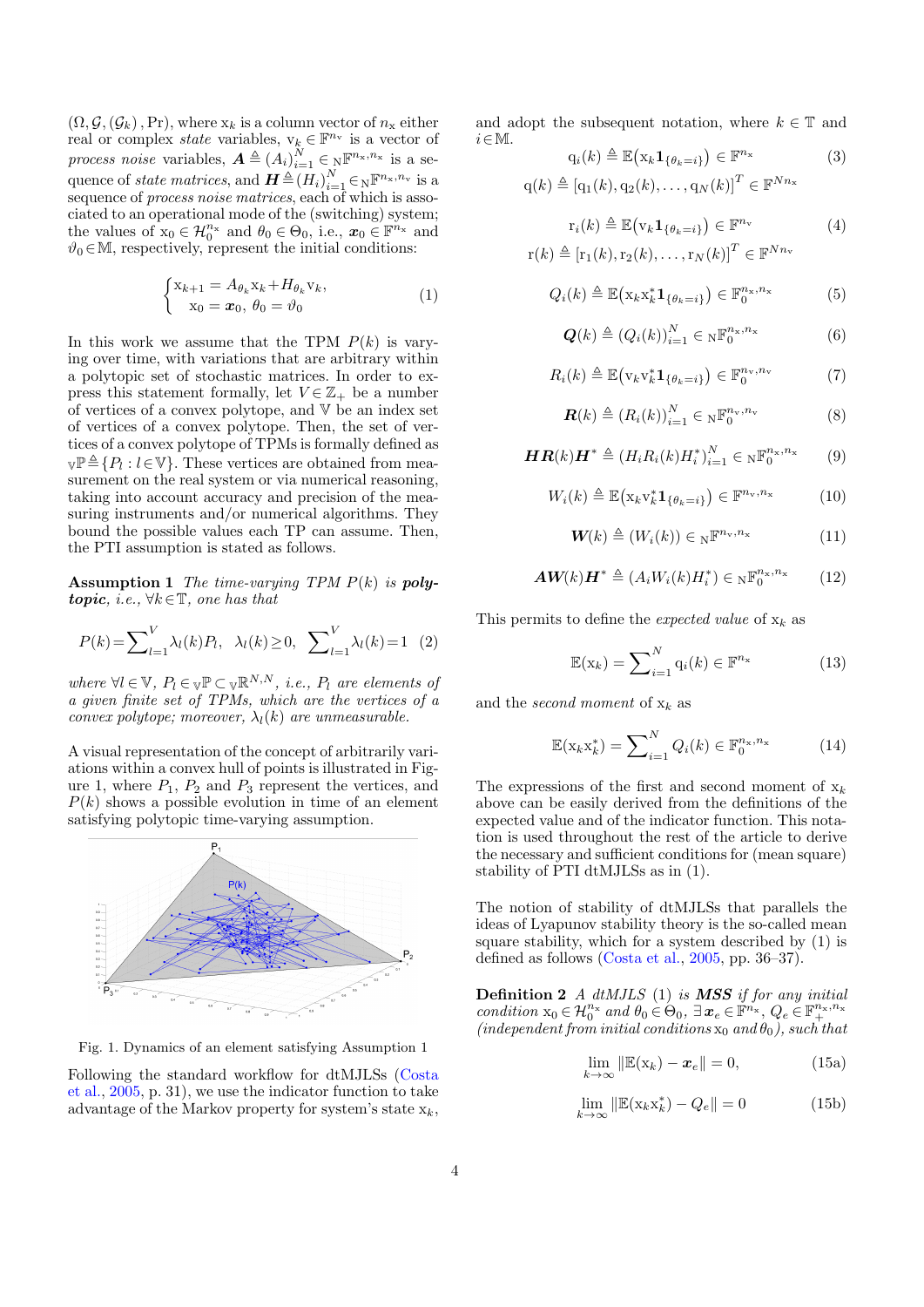$(\Omega, \mathcal{G}, (\mathcal{G}_k), Pr)$ , where  $x_k$  is a column vector of  $n_x$  either real or complex *state* variables,  $v_k \in \mathbb{F}^{n_v}$  is a vector of process noise variables,  $\mathbf{A} \triangleq (A_i)_{i=1}^N \in \mathbb{N}^{\mathbb{F}^{n_x,n_x}}$  is a sequence of *state matrices*, and  $\boldsymbol{H} \triangleq (H_i)_{i=1}^N \in \mathbb{N} \mathbb{F}^{n_x,n_v}$  is a sequence of *process noise matrices*, each of which is associated to an operational mode of the (switching) system; the values of  $x_0 \in \mathcal{H}_0^{n_x}$  and  $\theta_0 \in \Theta_0$ , i.e.,  $x_0 \in \mathbb{F}^{n_x}$  and  $\vartheta_0 \in M$ , respectively, represent the initial conditions:

$$
\begin{cases} \mathbf{x}_{k+1} = A_{\theta_k} \mathbf{x}_k + H_{\theta_k} \mathbf{v}_k, \\ \mathbf{x}_0 = \mathbf{x}_0, \ \theta_0 = \vartheta_0 \end{cases} \tag{1}
$$

In this work we assume that the TPM  $P(k)$  is varying over time, with variations that are arbitrary within a polytopic set of stochastic matrices. In order to express this statement formally, let  $V \in \mathbb{Z}_+$  be a number of vertices of a convex polytope, and V be an index set of vertices of a convex polytope. Then, the set of vertices of a convex polytope of TPMs is formally defined as  $\mathbb{V}^{\mathbb{P}} \triangleq \{P_l : l \in \mathbb{V}\}.$  These vertices are obtained from measurement on the real system or via numerical reasoning, taking into account accuracy and precision of the measuring instruments and/or numerical algorithms. They bound the possible values each TP can assume. Then, the PTI assumption is stated as follows.

**Assumption 1** The time-varying TPM  $P(k)$  is **poly**topic, i.e.,  $\forall k \in \mathbb{T}$ , one has that

$$
P(k) = \sum_{l=1}^{V} \lambda_l(k) P_l, \ \lambda_l(k) \ge 0, \ \sum_{l=1}^{V} \lambda_l(k) = 1 \tag{2}
$$

where  $\forall l \in \mathbb{V}, P_l \in \mathbb{V} \mathbb{P} \subset \mathbb{V} \mathbb{R}^{N,N}, i.e., P_l$  are elements of a given finite set of TPMs, which are the vertices of a convex polytope; moreover,  $\lambda_l(k)$  are unmeasurable.

A visual representation of the concept of arbitrarily variations within a convex hull of points is illustrated in Figure 1, where  $P_1$ ,  $P_2$  and  $P_3$  represent the vertices, and  $P(k)$  shows a possible evolution in time of an element satisfying polytopic time-varying assumption.



Fig. 1. Dynamics of an element satisfying Assumption 1

Following the standard workflow for dtMJLSs [\(Costa](#page-14-0) [et al.,](#page-14-0) [2005,](#page-14-0) p. 31), we use the indicator function to take advantage of the Markov property for system's state  $x_k$ ,

and adopt the subsequent notation, where  $k \in \mathbb{T}$  and  $i \in \mathbb{M}$ .

$$
q_i(k) \triangleq \mathbb{E}(x_k \mathbf{1}_{\{\theta_k = i\}}) \in \mathbb{F}^{n_x}
$$
(3)  

$$
q(k) \triangleq [q_1(k), q_2(k), \dots, q_N(k)]^T \in \mathbb{F}^{N n_x}
$$

$$
\mathbf{r}_i(k) \triangleq \mathbb{E}\big(\mathbf{v}_k \mathbf{1}_{\{\theta_k = i\}}\big) \in \mathbb{F}^{n_v} \tag{4}
$$

$$
\mathbf{r}(k) \triangleq [\mathbf{r}_1(k), \mathbf{r}_2(k), \dots, \mathbf{r}_N(k)]^T \in \mathbb{F}^{Nn_v}
$$

$$
Q_i(k) \triangleq \mathbb{E}\big(\mathbf{x}_k \mathbf{x}_k^* \mathbf{1}_{\{\theta_k = i\}}\big) \in \mathbb{F}_0^{n_x, n_x} \tag{5}
$$

$$
\mathbf{Q}(k) \triangleq (Q_i(k))_{i=1}^N \in \mathbb{N}^{\mathbb{F}_0^{n_x, n_x}}
$$
(6)

$$
R_i(k) \triangleq \mathbb{E}\big(\mathbf{v}_k \mathbf{v}_k^* \mathbf{1}_{\{\theta_k = i\}}\big) \in \mathbb{F}_0^{n_v, n_v} \tag{7}
$$

$$
\boldsymbol{R}(k) \triangleq (R_i(k))_{i=1}^N \in \mathbb{N} \mathbb{F}_0^{n_v, n_v}
$$
 (8)

$$
\boldsymbol{HR}(k)\boldsymbol{H}^* \triangleq (H_i R_i(k) H_i^*)_{i=1}^N \in \mathbb{N}^{\mathbb{P}^{n_x, n_x}} \qquad (9)
$$

$$
W_i(k) \triangleq \mathbb{E}\left(\mathbf{x}_k \mathbf{v}_k^* \mathbf{1}_{\{\theta_k = i\}}\right) \in \mathbb{F}^{n_v, n_x} \tag{10}
$$

$$
\mathbf{W}(k) \triangleq (W_i(k)) \in \mathbb{N}^{\mathbb{F}^{n_v, n_x}}
$$
\n(11)

$$
\boldsymbol{A}\boldsymbol{W}(k)\boldsymbol{H}^* \triangleq (A_i W_i(k) H_i^*) \in \mathbb{N}^{\mathbb{F}_0^{n_x, n_x}} \qquad (12)
$$

This permits to define the expected value of  $x_k$  as

$$
\mathbb{E}(\mathbf{x}_k) = \sum_{i=1}^{N} \mathbf{q}_i(k) \in \mathbb{F}^{n_{\mathbf{x}}} \tag{13}
$$

and the second moment of  $x_k$  as

$$
\mathbb{E}(\mathbf{x}_k \mathbf{x}_k^*) = \sum_{i=1}^N Q_i(k) \in \mathbb{F}_0^{n_x, n_x}
$$
 (14)

The expressions of the first and second moment of  $x_k$ above can be easily derived from the definitions of the expected value and of the indicator function. This notation is used throughout the rest of the article to derive the necessary and sufficient conditions for (mean square) stability of PTI dtMJLSs as in (1).

The notion of stability of dtMJLSs that parallels the ideas of Lyapunov stability theory is the so-called mean square stability, which for a system described by (1) is defined as follows [\(Costa et al.,](#page-14-0) [2005,](#page-14-0) pp. 36–37).

**Definition 2** A dtMJLS  $(1)$  is **MSS** if for any initial condition  $x_0 \in \mathcal{H}_0^{n_x}$  and  $\theta_0 \in \Theta_0$ ,  $\exists \mathbf{x}_e \in \mathbb{F}_1^{n_x}$ ,  $Q_e \in \mathbb{F}_+^{n_x,n_x}$ (independent from initial conditions  $x_0$  and  $\theta_0$ ), such that

$$
\lim_{k \to \infty} \|\mathbb{E}(\mathbf{x}_k) - \mathbf{x}_e\| = 0,\tag{15a}
$$

$$
\lim_{k \to \infty} \|\mathbb{E}(\mathbf{x}_k \mathbf{x}_k^*) - Q_e\| = 0 \tag{15b}
$$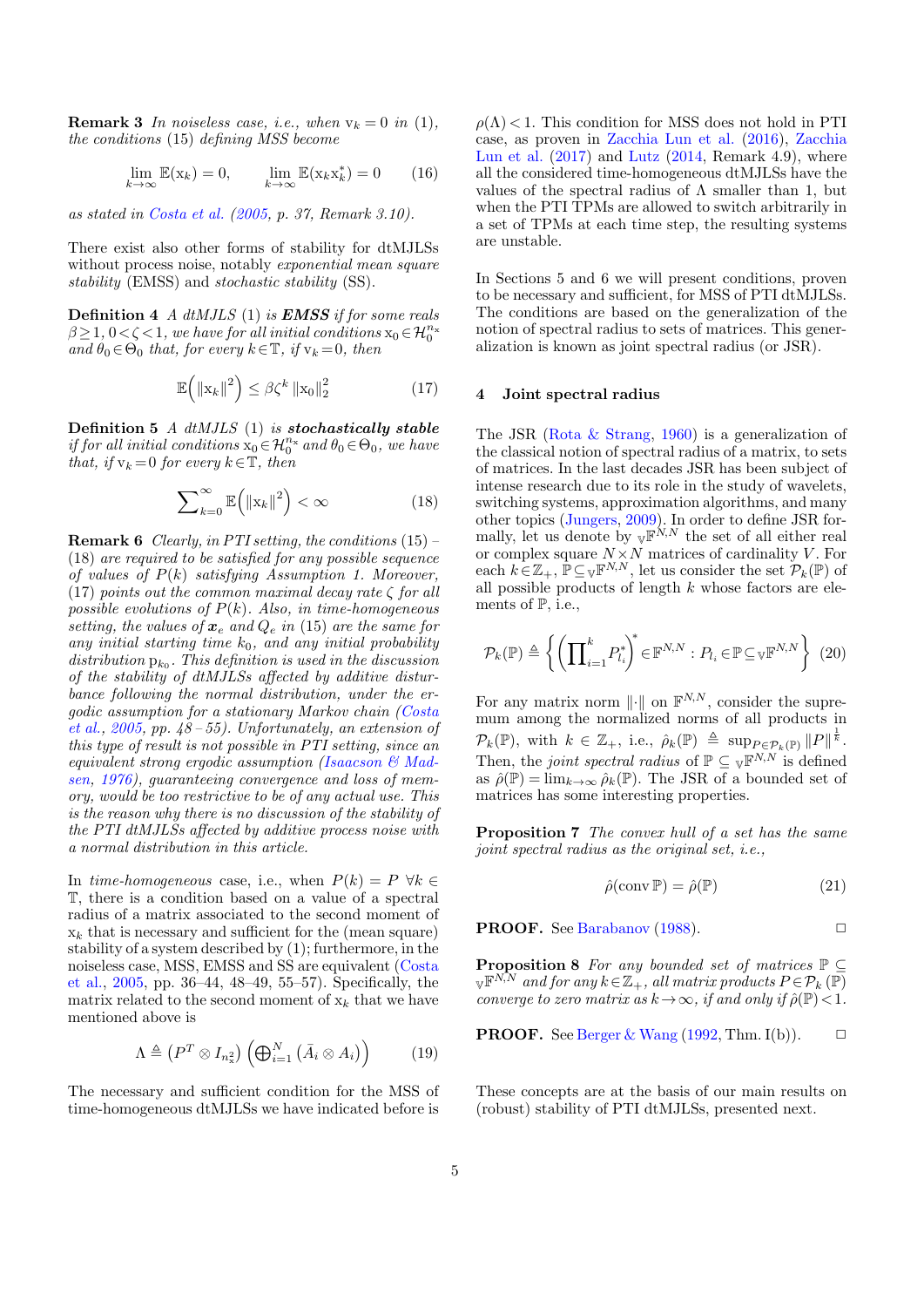**Remark 3** In noiseless case, i.e., when  $v_k = 0$  in (1), the conditions (15) defining MSS become

$$
\lim_{k \to \infty} \mathbb{E}(\mathbf{x}_k) = 0, \qquad \lim_{k \to \infty} \mathbb{E}(\mathbf{x}_k \mathbf{x}_k^*) = 0 \qquad (16)
$$

as stated in [Costa et al.](#page-14-0) [\(2005,](#page-14-0) p. 37, Remark 3.10).

There exist also other forms of stability for dtMJLSs without process noise, notably *exponential mean square* stability (EMSS) and stochastic stability (SS).

**Definition 4** A dtMJLS  $(1)$  is **EMSS** if for some reals  $\beta \geq 1, 0 < \zeta < 1$ , we have for all initial conditions  $\mathrm{x}_0 \in \mathcal{H}_0^{n_{\mathrm{x}}}$ and  $\theta_0 \in \Theta_0$  that, for every  $k \in \mathbb{T}$ , if  $v_k = 0$ , then

$$
\mathbb{E}\left(\left\|\mathbf{x}_{k}\right\|^{2}\right) \leq \beta \zeta^{k} \left\|\mathbf{x}_{0}\right\|_{2}^{2} \tag{17}
$$

Definition 5  $A$  dtMJLS (1) is stochastically stable if for all initial conditions  $x_0 \in \mathcal{H}_0^{n_x}$  and  $\theta_0 \in \Theta_0$ , we have that, if  $v_k = 0$  for every  $k \in \mathbb{T}$ , then

$$
\sum_{k=0}^{\infty} \mathbb{E}\left(\left\|\mathbf{x}_{k}\right\|^{2}\right) < \infty \tag{18}
$$

**Remark 6** Clearly, in PTI setting, the conditions  $(15)$  – (18) are required to be satisfied for any possible sequence of values of  $P(k)$  satisfying Assumption 1. Moreover, (17) points out the common maximal decay rate  $\zeta$  for all possible evolutions of  $P(k)$ . Also, in time-homogeneous setting, the values of  $x_e$  and  $Q_e$  in (15) are the same for any initial starting time  $k_0$ , and any initial probability distribution  $p_{k_0}$ . This definition is used in the discussion of the stability of dtMJLSs affected by additive disturbance following the normal distribution, under the ergodic assumption for a stationary Markov chain [\(Costa](#page-14-0) [et al.,](#page-14-0)  $2005$ , pp.  $48-55$ ). Unfortunately, an extension of this type of result is not possible in PTI setting, since an equivalent strong ergodic assumption [\(Isaacson & Mad](#page-14-17)[sen,](#page-14-17) [1976\)](#page-14-17), guaranteeing convergence and loss of memory, would be too restrictive to be of any actual use. This is the reason why there is no discussion of the stability of the PTI dtMJLSs affected by additive process noise with a normal distribution in this article.

In time-homogeneous case, i.e., when  $P(k) = P \forall k \in$ T, there is a condition based on a value of a spectral radius of a matrix associated to the second moment of  $x_k$  that is necessary and sufficient for the (mean square) stability of a system described by (1); furthermore, in the noiseless case, MSS, EMSS and SS are equivalent [\(Costa](#page-14-0) [et al.,](#page-14-0) [2005,](#page-14-0) pp. 36–44, 48–49, 55–57). Specifically, the matrix related to the second moment of  $x_k$  that we have mentioned above is

$$
\Lambda \triangleq (P^T \otimes I_{n_\star^2}) \left( \bigoplus_{i=1}^N \left( \bar{A}_i \otimes A_i \right) \right) \tag{19}
$$

The necessary and sufficient condition for the MSS of time-homogeneous dtMJLSs we have indicated before is

 $\rho(\Lambda)$  < 1. This condition for MSS does not hold in PTI case, as proven in [Zacchia Lun et al.](#page-14-12) [\(2016\)](#page-14-12), [Zacchia](#page-14-13) [Lun et al.](#page-14-13)  $(2017)$  and [Lutz](#page-14-18)  $(2014,$  Remark 4.9), where all the considered time-homogeneous dtMJLSs have the values of the spectral radius of  $\Lambda$  smaller than 1, but when the PTI TPMs are allowed to switch arbitrarily in a set of TPMs at each time step, the resulting systems are unstable.

In Sections 5 and 6 we will present conditions, proven to be necessary and sufficient, for MSS of PTI dtMJLSs. The conditions are based on the generalization of the notion of spectral radius to sets of matrices. This generalization is known as joint spectral radius (or JSR).

#### 4 Joint spectral radius

The JSR [\(Rota & Strang,](#page-14-19) [1960\)](#page-14-19) is a generalization of the classical notion of spectral radius of a matrix, to sets of matrices. In the last decades JSR has been subject of intense research due to its role in the study of wavelets, switching systems, approximation algorithms, and many other topics [\(Jungers,](#page-14-20) [2009\)](#page-14-20). In order to define JSR formally, let us denote by  $\mathbb{V} \mathbb{F}^{N,N}$  the set of all either real or complex square  $N \times N$  matrices of cardinality V. For each  $k \in \mathbb{Z}_+$ ,  $\mathbb{P} \subseteq \mathbb{V} \mathbb{F}^{N,N}$ , let us consider the set  $\mathcal{P}_k(\mathbb{P})$  of all possible products of length  $k$  whose factors are elements of  $\mathbb{P}$ , i.e.,

$$
\mathcal{P}_k(\mathbb{P}) \triangleq \left\{ \left( \prod_{i=1}^k P_{l_i}^* \right)^* \in \mathbb{F}^{N,N} : P_{l_i} \in \mathbb{P} \subseteq \mathbb{V} \mathbb{F}^{N,N} \right\} (20)
$$

For any matrix norm  $\|\cdot\|$  on  $\mathbb{F}^{N,N}$ , consider the supremum among the normalized norms of all products in  $\mathcal{P}_k(\mathbb{P})$ , with  $k \in \mathbb{Z}_+$ , i.e.,  $\hat{\rho}_k(\mathbb{P}) \triangleq \sup_{P \in \mathcal{P}_k(\mathbb{P})} ||P||^{\frac{1}{k}}$ . Then, the *joint spectral radius* of  $P \subseteq V^{\mathbb{F}^{N,N}}$  is defined as  $\hat{\rho}(\mathbb{P}) = \lim_{k \to \infty} \hat{\rho}_k(\mathbb{P})$ . The JSR of a bounded set of matrices has some interesting properties.

Proposition 7 The convex hull of a set has the same joint spectral radius as the original set, i.e.,

$$
\hat{\rho}(\text{conv}\,\mathbb{P}) = \hat{\rho}(\mathbb{P})\tag{21}
$$

**Proposition 8** For any bounded set of matrices  $\mathbb{P} \subseteq$  $\mathbb{V}^{\mathbb{F}^{N,N}}$  and for any  $k\!\in\!\mathbb{Z}_{+}^{\times}$ , all matrix products  $P\!\in\!\mathcal{P}_{k}\left(\overline{\mathbb{P}}\right)$ converge to zero matrix as  $k \to \infty$ , if and only if  $\hat{\rho}(\mathbb{P})$  < 1.

**PROOF.** See [Barabanov](#page-13-6) [\(1988\)](#page-13-6). □

**PROOF.** See Berger & Wang (1992, Thm. I(b)). 
$$
\square
$$

These concepts are at the basis of our main results on (robust) stability of PTI dtMJLSs, presented next.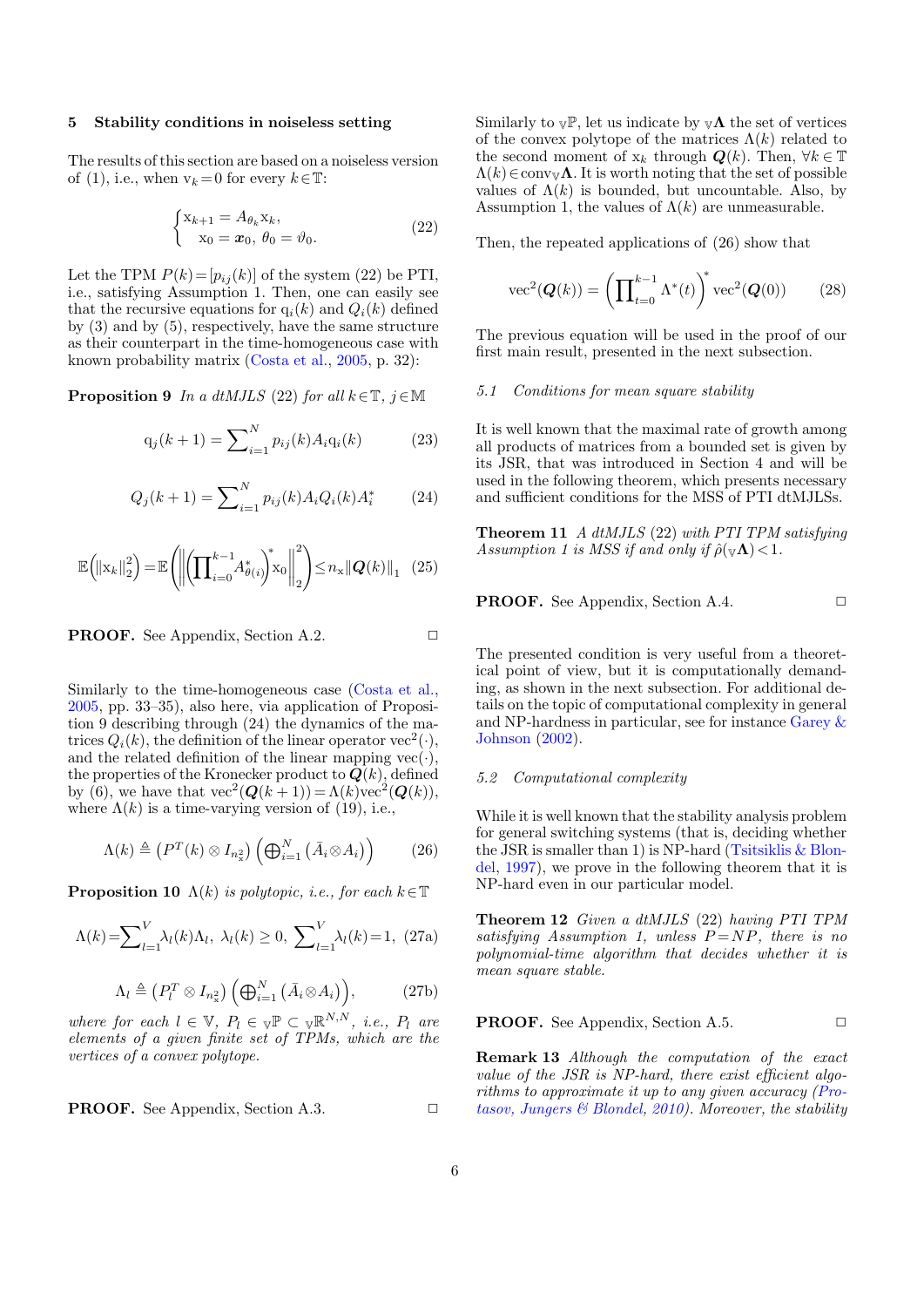#### 5 Stability conditions in noiseless setting

The results of this section are based on a noiseless version of (1), i.e., when  $v_k = 0$  for every  $k \in \mathbb{T}$ :

$$
\begin{cases} \mathbf{x}_{k+1} = A_{\theta_k} \mathbf{x}_k, \\ \mathbf{x}_0 = \mathbf{x}_0, \ \theta_0 = \vartheta_0. \end{cases} \tag{22}
$$

Let the TPM  $P(k)=[p_{ij}(k)]$  of the system (22) be PTI, i.e., satisfying Assumption 1. Then, one can easily see that the recursive equations for  $q_i(k)$  and  $Q_i(k)$  defined by (3) and by (5), respectively, have the same structure as their counterpart in the time-homogeneous case with known probability matrix [\(Costa et al.,](#page-14-0) [2005,](#page-14-0) p. 32):

**Proposition 9** In a dtMJLS (22) for all  $k \in \mathbb{T}$ ,  $j \in \mathbb{M}$ 

$$
q_j(k+1) = \sum_{i=1}^{N} p_{ij}(k) A_i q_i(k)
$$
 (23)

$$
Q_j(k+1) = \sum_{i=1}^{N} p_{ij}(k) A_i Q_i(k) A_i^*
$$
 (24)

$$
\mathbb{E}(|x_k||_2^2) = \mathbb{E}(|\left(\prod_{i=0}^{k-1} A_{\theta(i)}^*)^* x_0\right\|_2^2) \le n_x ||Q(k)||_1 \quad (25)
$$

**PROOF.** See Appendix, Section A.2. □

Similarly to the time-homogeneous case [\(Costa et al.,](#page-14-0) [2005,](#page-14-0) pp. 33–35), also here, via application of Proposition 9 describing through (24) the dynamics of the matrices  $Q_i(k)$ , the definition of the linear operator vec<sup>2</sup>( $\cdot$ ), and the related definition of the linear mapping  $vec(\cdot)$ , the properties of the Kronecker product to  $\mathbf{Q}(k)$ , defined by (6), we have that  $\text{vec}^2(\mathbf{Q}(k+1)) = \Lambda(k)\text{vec}^2(\mathbf{Q}(k)),$ where  $\Lambda(k)$  is a time-varying version of (19), i.e.,

$$
\Lambda(k) \triangleq (P^T(k) \otimes I_{n_x^2}) \left( \bigoplus_{i=1}^N (\bar{A}_i \otimes A_i) \right) \qquad (26)
$$

**Proposition 10**  $\Lambda(k)$  is polytopic, i.e., for each  $k \in \mathbb{T}$ 

$$
\Lambda(k) = \sum_{l=1}^{V} \lambda_l(k) \Lambda_l, \ \lambda_l(k) \ge 0, \ \sum_{l=1}^{V} \lambda_l(k) = 1, \ (27a)
$$

$$
\Lambda_l \triangleq \left(P_l^T \otimes I_{n_x^2}\right) \left(\bigoplus_{i=1}^N \left(\bar{A}_i \otimes A_i\right)\right),\tag{27b}
$$

where for each  $l \in \mathbb{V}$ ,  $P_l \in \mathbb{V} \mathbb{P} \subset \mathbb{V} \mathbb{R}^{N,N}$ , i.e.,  $P_l$  are elements of a given finite set of TPMs, which are the vertices of a convex polytope.

**PROOF.** See Appendix, Section A.3. □

Similarly to  $\mathbb{V}\mathbb{P}$ , let us indicate by  $\mathbb{V}\Lambda$  the set of vertices of the convex polytope of the matrices  $\Lambda(k)$  related to the second moment of  $x_k$  through  $Q(k)$ . Then,  $\forall k \in \mathbb{T}$  $\Lambda(k) \in \text{conv}_{\mathbb{V}} \Lambda$ . It is worth noting that the set of possible values of  $\Lambda(k)$  is bounded, but uncountable. Also, by Assumption 1, the values of  $\Lambda(k)$  are unmeasurable.

Then, the repeated applications of (26) show that

$$
\text{vec}^2(\boldsymbol{Q}(k)) = \left(\prod_{t=0}^{k-1} \Lambda^*(t)\right)^* \text{vec}^2(\boldsymbol{Q}(0)) \qquad (28)
$$

The previous equation will be used in the proof of our first main result, presented in the next subsection.

#### 5.1 Conditions for mean square stability

It is well known that the maximal rate of growth among all products of matrices from a bounded set is given by its JSR, that was introduced in Section 4 and will be used in the following theorem, which presents necessary and sufficient conditions for the MSS of PTI dtMJLSs.

Theorem 11 A dtMJLS (22) with PTI TPM satisfying Assumption 1 is MSS if and only if  $\hat{\rho}(\mathbf{v}\Lambda) < 1$ .

**PROOF.** See Appendix, Section A.4. 
$$
\Box
$$

The presented condition is very useful from a theoretical point of view, but it is computationally demanding, as shown in the next subsection. For additional details on the topic of computational complexity in general and NP-hardness in particular, see for instance [Garey &](#page-14-21) [Johnson](#page-14-21) [\(2002\)](#page-14-21).

# 5.2 Computational complexity

While it is well known that the stability analysis problem for general switching systems (that is, deciding whether the JSR is smaller than 1) is NP-hard [\(Tsitsiklis & Blon](#page-14-11)[del,](#page-14-11) [1997\)](#page-14-11), we prove in the following theorem that it is NP-hard even in our particular model.

Theorem 12 Given a dtMJLS (22) having PTI TPM satisfying Assumption 1, unless  $P = NP$ , there is no polynomial-time algorithm that decides whether it is mean square stable.

**PROOF.** See Appendix, Section A.5. □

Remark 13 Although the computation of the exact value of the JSR is NP-hard, there exist efficient algorithms to approximate it up to any given accuracy [\(Pro](#page-14-22)[tasov, Jungers & Blondel,](#page-14-22) [2010\)](#page-14-22). Moreover, the stability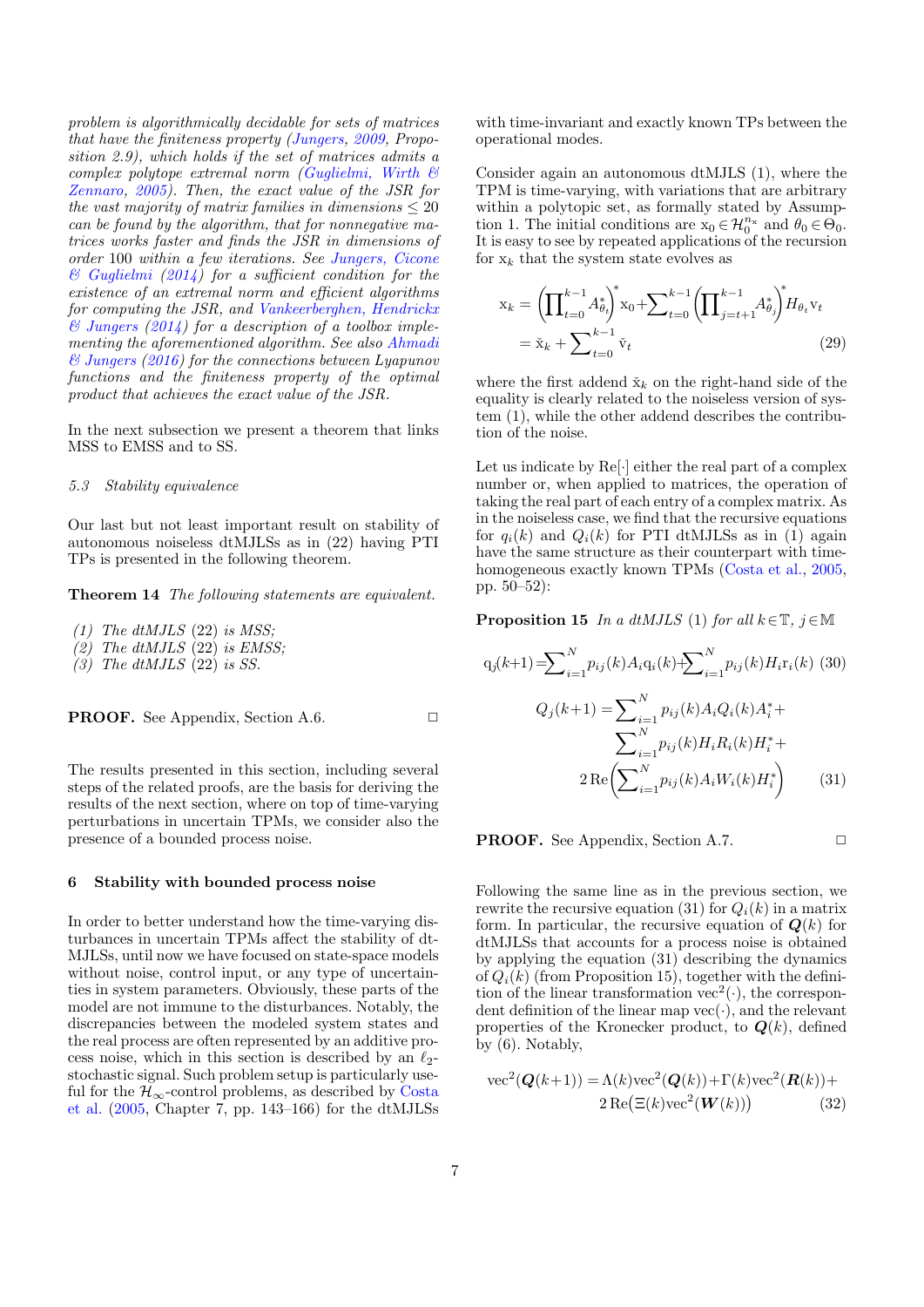problem is algorithmically decidable for sets of matrices that have the finiteness property [\(Jungers,](#page-14-20) [2009,](#page-14-20) Proposition 2.9), which holds if the set of matrices admits a complex polytope extremal norm (Guglielmi, Wirth  $\mathcal{C}$ [Zennaro,](#page-14-23) [2005\)](#page-14-23). Then, the exact value of the JSR for the vast majority of matrix families in dimensions  $\leq 20$ can be found by the algorithm, that for nonnegative matrices works faster and finds the JSR in dimensions of order 100 within a few iterations. See [Jungers, Cicone](#page-14-24)  $\mathscr$  Guglielmi [\(2014\)](#page-14-24) for a sufficient condition for the existence of an extremal norm and efficient algorithms for computing the JSR, and [Vankeerberghen, Hendrickx](#page-14-25)  $\mathscr$  Jungers [\(2014\)](#page-14-25) for a description of a toolbox implementing the aforementioned algorithm. See also [Ahmadi](#page-13-8) [& Jungers](#page-13-8) [\(2016\)](#page-13-8) for the connections between Lyapunov functions and the finiteness property of the optimal product that achieves the exact value of the JSR.

In the next subsection we present a theorem that links MSS to EMSS and to SS.

## 5.3 Stability equivalence

Our last but not least important result on stability of autonomous noiseless dtMJLSs as in (22) having PTI TPs is presented in the following theorem.

Theorem 14 The following statements are equivalent.

- (1) The dtMJLS  $(22)$  is MSS;
- $(2)$  The dtMJLS  $(22)$  is EMSS;
- $(3)$  The dtMJLS  $(22)$  is SS.

**PROOF.** See Appendix, Section A.6. <del>□</del>

The results presented in this section, including several steps of the related proofs, are the basis for deriving the results of the next section, where on top of time-varying perturbations in uncertain TPMs, we consider also the presence of a bounded process noise.

#### 6 Stability with bounded process noise

In order to better understand how the time-varying disturbances in uncertain TPMs affect the stability of dt-MJLSs, until now we have focused on state-space models without noise, control input, or any type of uncertainties in system parameters. Obviously, these parts of the model are not immune to the disturbances. Notably, the discrepancies between the modeled system states and the real process are often represented by an additive process noise, which in this section is described by an  $\ell_2$ stochastic signal. Such problem setup is particularly useful for the  $\mathcal{H}_{\infty}$ -control problems, as described by [Costa](#page-14-0) [et al.](#page-14-0) [\(2005,](#page-14-0) Chapter 7, pp. 143–166) for the dtMJLSs

with time-invariant and exactly known TPs between the operational modes.

Consider again an autonomous dtMJLS (1), where the TPM is time-varying, with variations that are arbitrary within a polytopic set, as formally stated by Assumption 1. The initial conditions are  $x_0 \in \mathcal{H}_0^{n_x}$  and  $\theta_0 \in \Theta_0$ . It is easy to see by repeated applications of the recursion for  $x_k$  that the system state evolves as

$$
\mathbf{x}_{k} = \left(\prod_{t=0}^{k-1} A_{\theta_{t}}^{*}\right)^{*} \mathbf{x}_{0} + \sum_{t=0}^{k-1} \left(\prod_{j=t+1}^{k-1} A_{\theta_{j}}^{*}\right)^{*} H_{\theta_{t}} \mathbf{v}_{t}
$$
\n
$$
= \mathbf{x}_{k} + \sum_{t=0}^{k-1} \mathbf{v}_{t} \tag{29}
$$

where the first addend  $\check{x}_k$  on the right-hand side of the equality is clearly related to the noiseless version of system (1), while the other addend describes the contribution of the noise.

Let us indicate by Re[·] either the real part of a complex number or, when applied to matrices, the operation of taking the real part of each entry of a complex matrix. As in the noiseless case, we find that the recursive equations for  $q_i(k)$  and  $Q_i(k)$  for PTI dtMJLSs as in (1) again have the same structure as their counterpart with time-homogeneous exactly known TPMs [\(Costa et al.,](#page-14-0) [2005,](#page-14-0) pp. 50–52):

**Proposition 15** In a dtMJLS (1) for all  $k \in \mathbb{T}$ ,  $j \in \mathbb{M}$ 

$$
q_j(k+1) = \sum_{i=1}^{N} p_{ij}(k) A_i q_i(k) + \sum_{i=1}^{N} p_{ij}(k) H_i r_i(k)
$$
 (30)  

$$
Q_j(k+1) = \sum_{i=1}^{N} p_{ij}(k) A_i Q_i(k) A_i^* + \sum_{i=1}^{N} p_{ij}(k) H_i R_i(k) H_i^* +
$$
  

$$
2 \operatorname{Re} \left( \sum_{i=1}^{N} p_{ij}(k) A_i W_i(k) H_i^* \right)
$$
 (31)

**PROOF.** See Appendix, Section A.7. □

Following the same line as in the previous section, we rewrite the recursive equation (31) for  $Q_i(k)$  in a matrix form. In particular, the recursive equation of  $\mathbf{Q}(k)$  for dtMJLSs that accounts for a process noise is obtained by applying the equation (31) describing the dynamics of  $Q_i(k)$  (from Proposition 15), together with the definition of the linear transformation  $vec^2(\cdot)$ , the correspondent definition of the linear map  $\text{vec}(\cdot)$ , and the relevant properties of the Kronecker product, to  $\mathbf{Q}(k)$ , defined by (6). Notably,

vec<sup>2</sup>(
$$
\boldsymbol{Q}(k+1)
$$
) =  $\Lambda(k)\text{vec}^2(\boldsymbol{Q}(k)) + \Gamma(k)\text{vec}^2(\boldsymbol{R}(k)) +$   
2 Re( $\Xi(k)\text{vec}^2(\boldsymbol{W}(k))$ ) (32)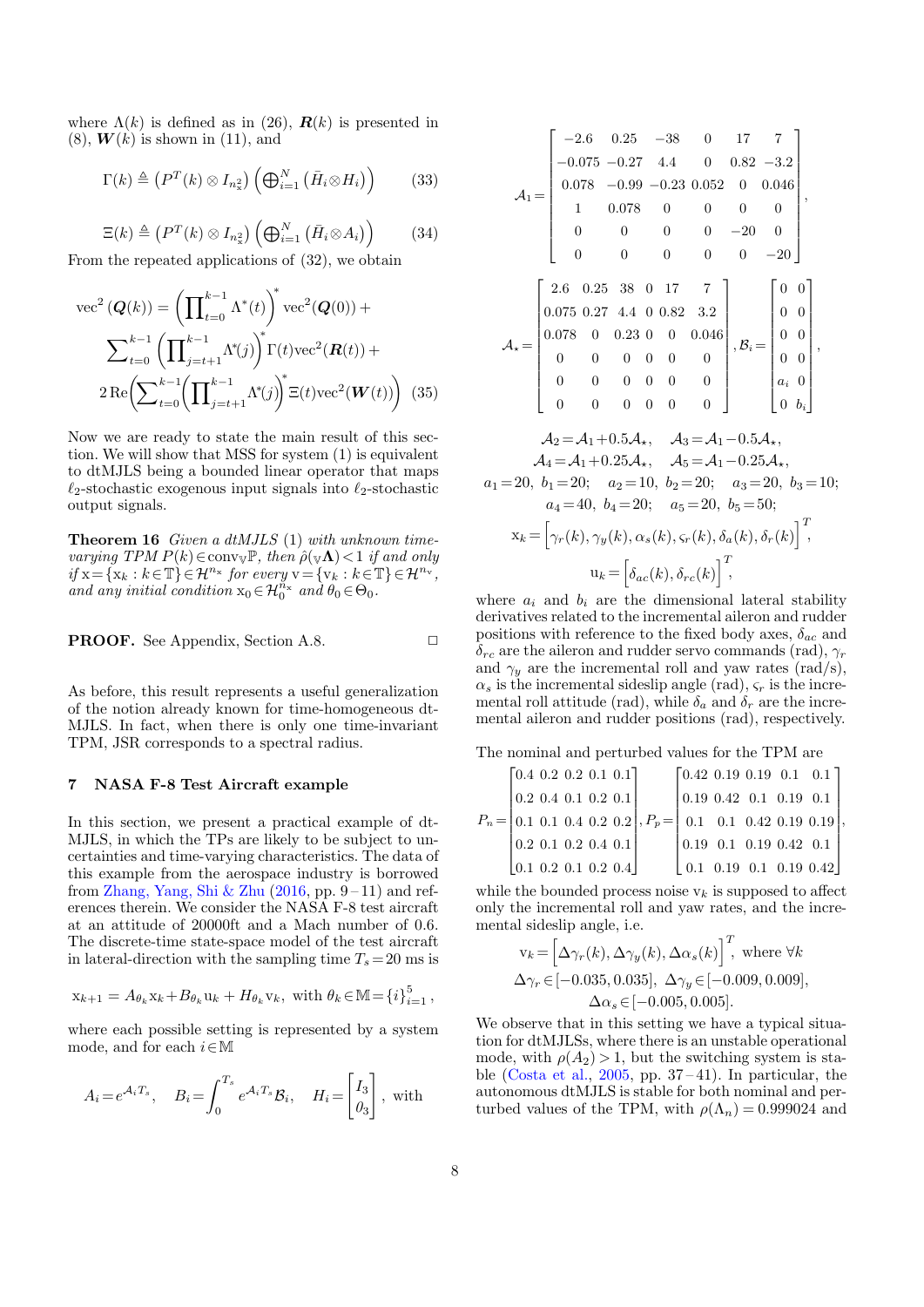where  $\Lambda(k)$  is defined as in (26),  $\mathbf{R}(k)$  is presented in  $(8)$ ,  $\mathbf{W}(k)$  is shown in  $(11)$ , and

$$
\Gamma(k) \triangleq (P^T(k) \otimes I_{n_x^2}) \left( \bigoplus_{i=1}^N \left( \bar{H}_i \otimes H_i \right) \right) \tag{33}
$$

$$
\Xi(k) \triangleq \left(P^T(k) \otimes I_{n_\mathbf{x}^2}\right) \left(\bigoplus_{i=1}^N \left(\bar{H}_i \otimes A_i\right)\right) \tag{34}
$$

From the repeated applications of (32), we obtain

vec<sup>2</sup> 
$$
(Q(k)) = \left(\prod_{t=0}^{k-1} \Lambda^*(t)\right)^* \text{vec}^2(Q(0)) +
$$
  
\n
$$
\sum_{t=0}^{k-1} \left(\prod_{j=t+1}^{k-1} \Lambda^*(j)\right)^* \Gamma(t) \text{vec}^2(R(t)) +
$$
\n
$$
2 \text{Re} \left(\sum_{t=0}^{k-1} \left(\prod_{j=t+1}^{k-1} \Lambda^*(j)\right)^* \Xi(t) \text{vec}^2(\boldsymbol{W}(t))\right) (35)
$$

Now we are ready to state the main result of this section. We will show that MSS for system (1) is equivalent to dtMJLS being a bounded linear operator that maps  $\ell_2$ -stochastic exogenous input signals into  $\ell_2$ -stochastic output signals.

Theorem 16 Given a dtMJLS (1) with unknown timevarying TPM  $P(k) \in \text{conv}_{\mathbb{V}} \mathbb{P}$ , then  $\hat{\rho}(\mathbb{V}\Lambda) < 1$  if and only  $if \: \mathbf{x} \!=\! \{\mathbf{x}_k : k \!\in\! \mathbb{T}\} \!\in\! \mathcal{H}^{n_\mathbf{x}} \; for \; every \: \mathbf{v} \!=\! \{\mathbf{v}_k : k \!\in\! \mathbb{T}\} \!\in\! \mathcal{H}^{n_\mathbf{v}} ,$ and any initial condition  $x_0 \in \mathcal{H}_0^{\tilde{n}_x}$  and  $\theta_0 \in \Theta_0$ .

PROOF. See Appendix, Section A.8. ✷

As before, this result represents a useful generalization of the notion already known for time-homogeneous dt-MJLS. In fact, when there is only one time-invariant TPM, JSR corresponds to a spectral radius.

## 7 NASA F-8 Test Aircraft example

In this section, we present a practical example of dt-MJLS, in which the TPs are likely to be subject to uncertainties and time-varying characteristics. The data of this example from the aerospace industry is borrowed from [Zhang, Yang, Shi & Zhu](#page-14-1)  $(2016, pp. 9-11)$  $(2016, pp. 9-11)$  and references therein. We consider the NASA F-8 test aircraft at an attitude of 20000ft and a Mach number of 0.6. The discrete-time state-space model of the test aircraft in lateral-direction with the sampling time  $T_s = 20$  ms is

$$
\mathbf{x}_{k+1} = A_{\theta_k} \mathbf{x}_k + B_{\theta_k} \mathbf{u}_k + H_{\theta_k} \mathbf{v}_k, \text{ with } \theta_k \in \mathbb{M} = \{i\}_{i=1}^5,
$$

where each possible setting is represented by a system mode, and for each  $i\!\in\!\mathbb{M}$ 

$$
A_i = e^{\mathcal{A}_i T_s}, \quad B_i = \int_0^{T_s} e^{\mathcal{A}_i T_s} \mathcal{B}_i, \quad H_i = \begin{bmatrix} I_3 \\ \theta_3 \end{bmatrix}, \text{ with }
$$

$$
A_{1} = \begin{bmatrix}\n-2.6 & 0.25 & -38 & 0 & 17 & 7 \\
-0.075 & -0.27 & 4.4 & 0 & 0.82 & -3.2 \\
0.078 & -0.99 & -0.23 & 0.052 & 0 & 0.046 \\
1 & 0.078 & 0 & 0 & 0 & 0 & 0 \\
0 & 0 & 0 & 0 & -20 & 0 & 0 \\
0 & 0 & 0 & 0 & 0 & -20 & 0\n\end{bmatrix},
$$
\n
$$
A_{\star} = \begin{bmatrix}\n2.6 & 0.25 & 38 & 0 & 17 & 7 \\
0.075 & 0.27 & 4.4 & 0 & 0.82 & 3.2 \\
0.078 & 0 & 0.23 & 0 & 0 & 0.046 \\
0 & 0 & 0 & 0 & 0 & 0 & 0 \\
0 & 0 & 0 & 0 & 0 & 0 & 0 \\
0 & 0 & 0 & 0 & 0 & 0 & 0\n\end{bmatrix}, B_{i} = \begin{bmatrix}\n0 & 0 \\
0 & 0 \\
0 & 0 \\
0 & 0 \\
a_{i} & 0 \\
0 & b_{i}\n\end{bmatrix},
$$
\n
$$
A_{2} = A_{1} + 0.5A_{4}, A_{3} = A_{1} - 0.5A_{4},
$$
\n
$$
A_{4} = A_{1} + 0.25A_{4}, A_{5} = A_{1} - 0.25A_{4},
$$
\n
$$
a_{4} = 40, b_{4} = 20; a_{5} = 20; a_{3} = 20, b_{3} = 10;
$$
\n
$$
a_{4} = 40, b_{4} = 20; a_{5} = 20, b_{5} = 50;
$$
\n
$$
x_{k} = \begin{bmatrix}\n\gamma_{r}(k), \gamma_{y}(k), \alpha_{s}(k), \varsigma_{r}(k), \delta_{a}(k), \delta_{r}(k)\end{bmatrix}^{T},
$$
\n
$$
u_{k} = \begin{bmatrix}\n\delta_{ac}(k), \delta_{rc}(k)\n\end{bmatrix}^{T}
$$

where  $a_i$  and  $b_i$  are the dimensional lateral stability derivatives related to the incremental aileron and rudder positions with reference to the fixed body axes,  $\delta_{ac}$  and  $\delta_{rc}$  are the aileron and rudder servo commands (rad),  $\gamma_r$ and  $\gamma_y$  are the incremental roll and yaw rates (rad/s),  $\alpha_s$  is the incremental sideslip angle (rad),  $\zeta_r$  is the incremental roll attitude (rad), while  $\delta_a$  and  $\delta_r$  are the incremental aileron and rudder positions (rad), respectively.

The nominal and perturbed values for the TPM are

$$
P_n = \begin{bmatrix} 0.4 & 0.2 & 0.2 & 0.1 & 0.1 \\ 0.2 & 0.4 & 0.1 & 0.2 & 0.1 \\ 0.1 & 0.1 & 0.4 & 0.2 & 0.2 \\ 0.2 & 0.1 & 0.2 & 0.4 & 0.1 \end{bmatrix}, P_p = \begin{bmatrix} 0.42 & 0.19 & 0.19 & 0.1 & 0.1 \\ 0.19 & 0.42 & 0.1 & 0.19 & 0.1 \\ 0.1 & 0.1 & 0.42 & 0.19 & 0.19 \\ 0.19 & 0.1 & 0.19 & 0.42 & 0.1 \\ 0.1 & 0.19 & 0.1 & 0.19 & 0.42 \end{bmatrix},
$$

while the bounded process noise  $v_k$  is supposed to affect only the incremental roll and yaw rates, and the incremental sideslip angle, i.e.

$$
\mathbf{v}_k = \left[\Delta \gamma_r(k), \Delta \gamma_y(k), \Delta \alpha_s(k)\right]^T, \text{ where } \forall k
$$
  
 
$$
\Delta \gamma_r \in [-0.035, 0.035], \Delta \gamma_y \in [-0.009, 0.009],
$$
  
 
$$
\Delta \alpha_s \in [-0.005, 0.005].
$$

We observe that in this setting we have a typical situation for dtMJLSs, where there is an unstable operational mode, with  $\rho(A_2) > 1$ , but the switching system is sta-ble [\(Costa et al.,](#page-14-0) [2005,](#page-14-0) pp.  $37-41$ ). In particular, the autonomous dtMJLS is stable for both nominal and perturbed values of the TPM, with  $\rho(\Lambda_n) = 0.999024$  and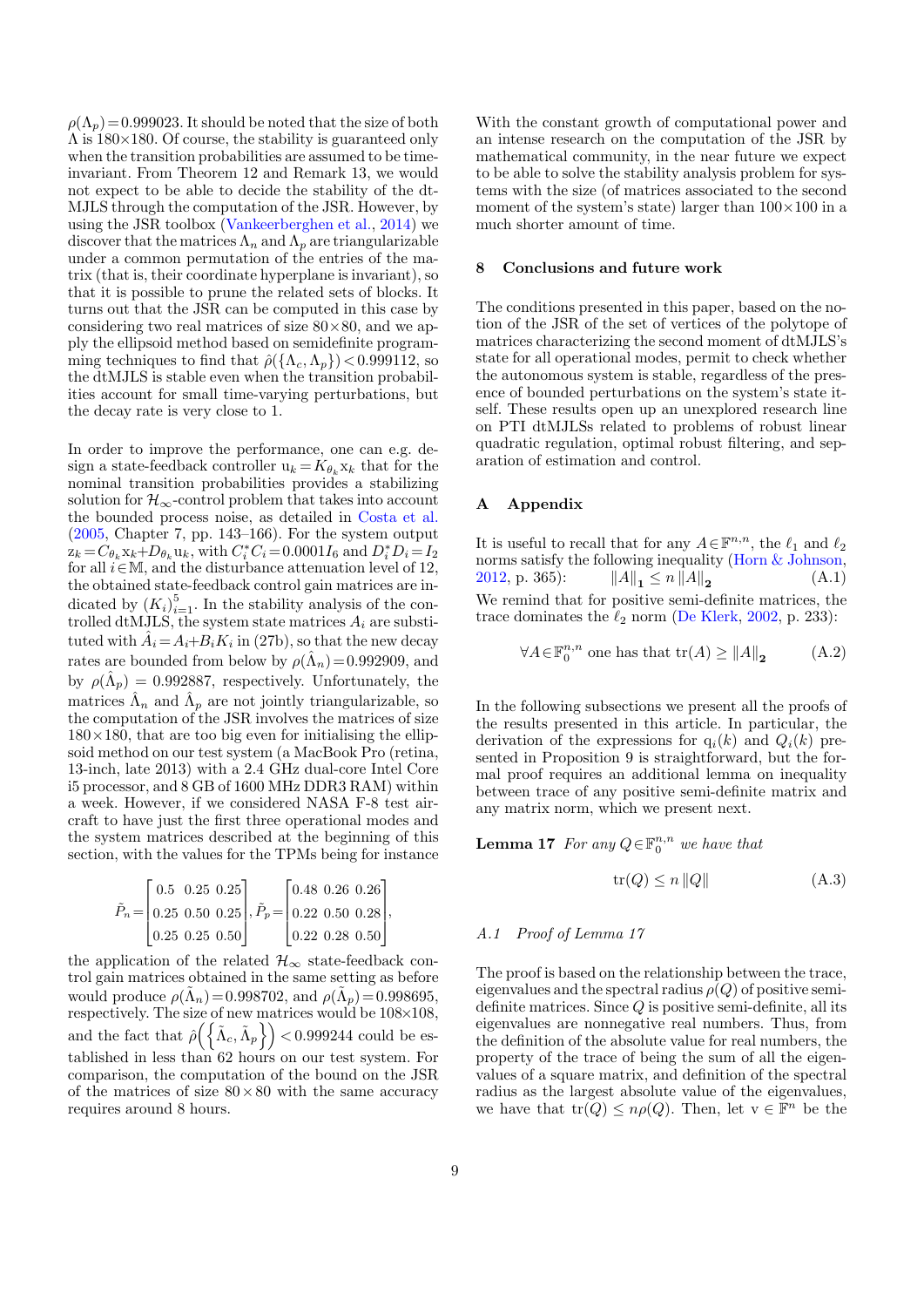$\rho(\Lambda_p)$  = 0.999023. It should be noted that the size of both Λ is 180×180. Of course, the stability is guaranteed only when the transition probabilities are assumed to be timeinvariant. From Theorem 12 and Remark 13, we would not expect to be able to decide the stability of the dt-MJLS through the computation of the JSR. However, by using the JSR toolbox [\(Vankeerberghen et al.,](#page-14-25) [2014\)](#page-14-25) we discover that the matrices  $\Lambda_n$  and  $\Lambda_p$  are triangularizable under a common permutation of the entries of the matrix (that is, their coordinate hyperplane is invariant), so that it is possible to prune the related sets of blocks. It turns out that the JSR can be computed in this case by considering two real matrices of size  $80 \times 80$ , and we apply the ellipsoid method based on semidefinite programming techniques to find that  $\hat{\rho}(\{\Lambda_c,\Lambda_p\})$  < 0.999112, so the dtMJLS is stable even when the transition probabilities account for small time-varying perturbations, but the decay rate is very close to 1.

In order to improve the performance, one can e.g. design a state-feedback controller  $u_k = K_{\theta_k} x_k$  that for the nominal transition probabilities provides a stabilizing solution for  $\mathcal{H}_{\infty}$ -control problem that takes into account the bounded process noise, as detailed in [Costa et al.](#page-14-0) [\(2005,](#page-14-0) Chapter 7, pp. 143–166). For the system output  $z_k = C_{\theta_k} x_k + D_{\theta_k} u_k$ , with  $C_i^* C_i = 0.0001 I_6$  and  $D_i^* D_i = I_2$ for all  $i\in\mathbb{M}$ , and the disturbance attenuation level of 12, the obtained state-feedback control gain matrices are indicated by  $(K_i)_{i=1}^5$ . In the stability analysis of the controlled dtMJLS, the system state matrices  $A_i$  are substituted with  $\hat{A}_i = A_i + B_i K_i$  in (27b), so that the new decay rates are bounded from below by  $\rho(\hat{\Lambda}_n) = 0.992909$ , and by  $\rho(\hat{\Lambda}_p) = 0.992887$ , respectively. Unfortunately, the matrices  $\hat{\Lambda}_n$  and  $\hat{\Lambda}_p$  are not jointly triangularizable, so the computation of the JSR involves the matrices of size  $180\times180$ , that are too big even for initialising the ellipsoid method on our test system (a MacBook Pro (retina, 13-inch, late 2013) with a 2.4 GHz dual-core Intel Core i5 processor, and 8 GB of 1600 MHz DDR3 RAM) within a week. However, if we considered NASA F-8 test aircraft to have just the first three operational modes and the system matrices described at the beginning of this section, with the values for the TPMs being for instance

$$
\tilde{P}_n = \begin{bmatrix} 0.5 & 0.25 & 0.25 \\ 0.25 & 0.50 & 0.25 \\ 0.25 & 0.25 & 0.50 \end{bmatrix}, \tilde{P}_p = \begin{bmatrix} 0.48 & 0.26 & 0.26 \\ 0.22 & 0.50 & 0.28 \\ 0.22 & 0.28 & 0.50 \end{bmatrix},
$$

the application of the related  $\mathcal{H}_{\infty}$  state-feedback control gain matrices obtained in the same setting as before would produce  $\rho(\tilde{\Lambda}_n) = 0.998702$ , and  $\rho(\tilde{\Lambda}_p) = 0.998695$ , respectively. The size of new matrices would be 108×108, and the fact that  $\hat{\rho}(\lbrace \tilde{\Lambda}_c, \tilde{\Lambda}_p \rbrace) < 0.999244$  could be established in less than 62 hours on our test system. For comparison, the computation of the bound on the JSR of the matrices of size  $80 \times 80$  with the same accuracy requires around 8 hours.

With the constant growth of computational power and an intense research on the computation of the JSR by mathematical community, in the near future we expect to be able to solve the stability analysis problem for systems with the size (of matrices associated to the second moment of the system's state) larger than  $100\times100$  in a much shorter amount of time.

### 8 Conclusions and future work

The conditions presented in this paper, based on the notion of the JSR of the set of vertices of the polytope of matrices characterizing the second moment of dtMJLS's state for all operational modes, permit to check whether the autonomous system is stable, regardless of the presence of bounded perturbations on the system's state itself. These results open up an unexplored research line on PTI dtMJLSs related to problems of robust linear quadratic regulation, optimal robust filtering, and separation of estimation and control.

# A Appendix

It is useful to recall that for any  $A \in \mathbb{F}^{n,n}$ , the  $\ell_1$  and  $\ell_2$ norms satisfy the following inequality [\(Horn & Johnson,](#page-14-16) [2012,](#page-14-16) p. 365):  $||A||_1 \le n ||A||_2$ (A.1) We remind that for positive semi-definite matrices, the trace dominates the  $\ell_2$  norm [\(De Klerk,](#page-14-26) [2002,](#page-14-26) p. 233):

$$
\forall A \in \mathbb{F}_0^{n,n} \text{ one has that } \text{tr}(A) \ge ||A||_2 \tag{A.2}
$$

In the following subsections we present all the proofs of the results presented in this article. In particular, the derivation of the expressions for  $q_i(k)$  and  $Q_i(k)$  presented in Proposition 9 is straightforward, but the formal proof requires an additional lemma on inequality between trace of any positive semi-definite matrix and any matrix norm, which we present next.

**Lemma 17** For any  $Q \in \mathbb{F}_0^{n,n}$  we have that

$$
\text{tr}(Q) \le n ||Q|| \tag{A.3}
$$

## A.1 Proof of Lemma 17

The proof is based on the relationship between the trace, eigenvalues and the spectral radius  $\rho(Q)$  of positive semidefinite matrices. Since  $Q$  is positive semi-definite, all its eigenvalues are nonnegative real numbers. Thus, from the definition of the absolute value for real numbers, the property of the trace of being the sum of all the eigenvalues of a square matrix, and definition of the spectral radius as the largest absolute value of the eigenvalues, we have that  $\text{tr}(Q) \leq n \rho(Q)$ . Then, let  $v \in \mathbb{F}^n$  be the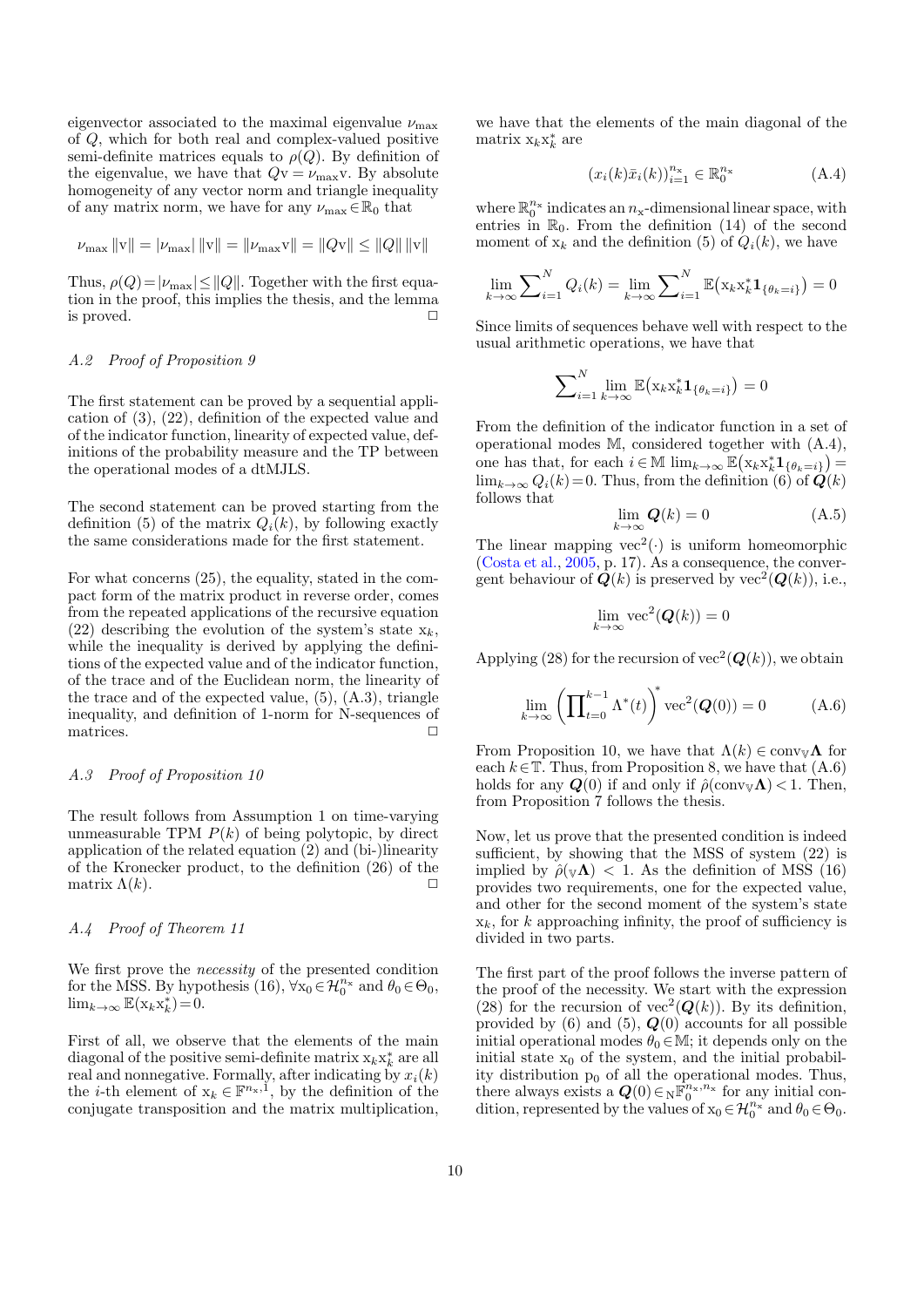eigenvector associated to the maximal eigenvalue  $\nu_{\text{max}}$ of Q, which for both real and complex-valued positive semi-definite matrices equals to  $\rho(Q)$ . By definition of the eigenvalue, we have that  $Qv = \nu_{\text{max}}v$ . By absolute homogeneity of any vector norm and triangle inequality of any matrix norm, we have for any  $\nu_{\text{max}} \in \mathbb{R}_0$  that

$$
\nu_{\max} ||v|| = |\nu_{\max}| ||v|| = ||\nu_{\max} v|| = ||Qv|| \le ||Q|| ||v||
$$

Thus,  $\rho(Q) = |\nu_{\text{max}}| \leq ||Q||$ . Together with the first equation in the proof, this implies the thesis, and the lemma is proved.  $\Box$ 

#### A.2 Proof of Proposition 9

The first statement can be proved by a sequential application of (3), (22), definition of the expected value and of the indicator function, linearity of expected value, definitions of the probability measure and the TP between the operational modes of a dtMJLS.

The second statement can be proved starting from the definition (5) of the matrix  $Q_i(k)$ , by following exactly the same considerations made for the first statement.

For what concerns (25), the equality, stated in the compact form of the matrix product in reverse order, comes from the repeated applications of the recursive equation (22) describing the evolution of the system's state  $x_k$ , while the inequality is derived by applying the definitions of the expected value and of the indicator function, of the trace and of the Euclidean norm, the linearity of the trace and of the expected value, (5), (A.3), triangle inequality, and definition of 1-norm for N-sequences of matrices.  $\Box$ 

## A.3 Proof of Proposition 10

The result follows from Assumption 1 on time-varying unmeasurable TPM  $P(k)$  of being polytopic, by direct application of the related equation (2) and (bi-)linearity of the Kronecker product, to the definition (26) of the matrix  $\Lambda(k)$ .

# A.4 Proof of Theorem 11

We first prove the necessity of the presented condition for the MSS. By hypothesis (16),  $\forall x_0 \in \mathcal{H}_0^{n_x}$  and  $\theta_0 \in \Theta_0$ ,  $\lim_{k\to\infty} \mathbb{E}(\mathbf{x}_k \mathbf{x}_k^*) = 0.$ 

First of all, we observe that the elements of the main diagonal of the positive semi-definite matrix  $x_k x_k^*$  are all real and nonnegative. Formally, after indicating by  $x_i(k)$ the *i*-th element of  $x_k \in \mathbb{F}^{n_x,1}$ , by the definition of the conjugate transposition and the matrix multiplication, we have that the elements of the main diagonal of the matrix  $x_k x_k^*$  are

$$
(x_i(k)\bar{x}_i(k))_{i=1}^{n_x} \in \mathbb{R}_0^{n_x}
$$
 (A.4)

where  $\mathbb{R}^{n_x}_0$  indicates an  $n_x$ -dimensional linear space, with entries in  $\mathbb{R}_0$ . From the definition (14) of the second moment of  $x_k$  and the definition (5) of  $Q_i(k)$ , we have

$$
\lim_{k \to \infty} \sum_{i=1}^{N} Q_i(k) = \lim_{k \to \infty} \sum_{i=1}^{N} \mathbb{E}(\mathbf{x}_k \mathbf{x}_k^* \mathbf{1}_{\{\theta_k = i\}}) = 0
$$

Since limits of sequences behave well with respect to the usual arithmetic operations, we have that

$$
\sum\nolimits_{i=1}^N \lim_{k\to\infty} \mathbb{E}\big(\mathbf{x}_k \mathbf{x}_k^* \mathbf{1}_{\{\theta_k=i\}}\big) = 0
$$

From the definition of the indicator function in a set of operational modes M, considered together with (A.4), one has that, for each  $i \in \mathbb{M}$   $\lim_{k \to \infty} \mathbb{E} (\mathbf{x}_k \mathbf{x}_k^* \mathbf{1}_{\{\theta_k = i\}}) =$  $\lim_{k\to\infty} Q_i(k)=0$ . Thus, from the definition (6) of  $\vec{Q}(k)$ follows that

$$
\lim_{k \to \infty} \mathbf{Q}(k) = 0 \tag{A.5}
$$

The linear mapping  $\text{vec}^2(\cdot)$  is uniform homeomorphic [\(Costa et al.,](#page-14-0) [2005,](#page-14-0) p. 17). As a consequence, the convergent behaviour of  $\mathbf{Q}(k)$  is preserved by vec<sup>2</sup>( $\mathbf{Q}(k)$ ), i.e.,

$$
\lim_{k \to \infty} \text{vec}^2(\boldsymbol{Q}(k)) = 0
$$

Applying (28) for the recursion of  $vec^2(Q(k))$ , we obtain

$$
\lim_{k \to \infty} \left( \prod_{t=0}^{k-1} \Lambda^*(t) \right)^* \text{vec}^2(\mathbf{Q}(0)) = 0 \tag{A.6}
$$

From Proposition 10, we have that  $\Lambda(k) \in \text{conv}_{\mathbb{V}} \Lambda$  for each  $k \in \mathbb{T}$ . Thus, from Proposition 8, we have that  $(A.6)$ holds for any  $Q(0)$  if and only if  $\hat{\rho}(\text{conv}_{V}\Lambda) < 1$ . Then, from Proposition 7 follows the thesis.

Now, let us prove that the presented condition is indeed sufficient, by showing that the MSS of system (22) is implied by  $\hat{\rho}(\mathbf{v}\mathbf{\Lambda}) < 1$ . As the definition of MSS (16) provides two requirements, one for the expected value, and other for the second moment of the system's state  $x_k$ , for k approaching infinity, the proof of sufficiency is divided in two parts.

The first part of the proof follows the inverse pattern of the proof of the necessity. We start with the expression  $(28)$  for the recursion of  $vec^2(Q(k))$ . By its definition, provided by  $(6)$  and  $(5)$ ,  $\mathbf{Q}(0)$  accounts for all possible initial operational modes  $\theta_0 \in M$ ; it depends only on the initial state  $x_0$  of the system, and the initial probability distribution  $p_0$  of all the operational modes. Thus, there always exists a  $Q(0) \in {}_{N}\mathbb{F}_{0}^{n_{x},n_{x}}$  for any initial condition, represented by the values of  $x_0 \in \mathcal{H}_0^{n_x}$  and  $\theta_0 \in \Theta_0$ .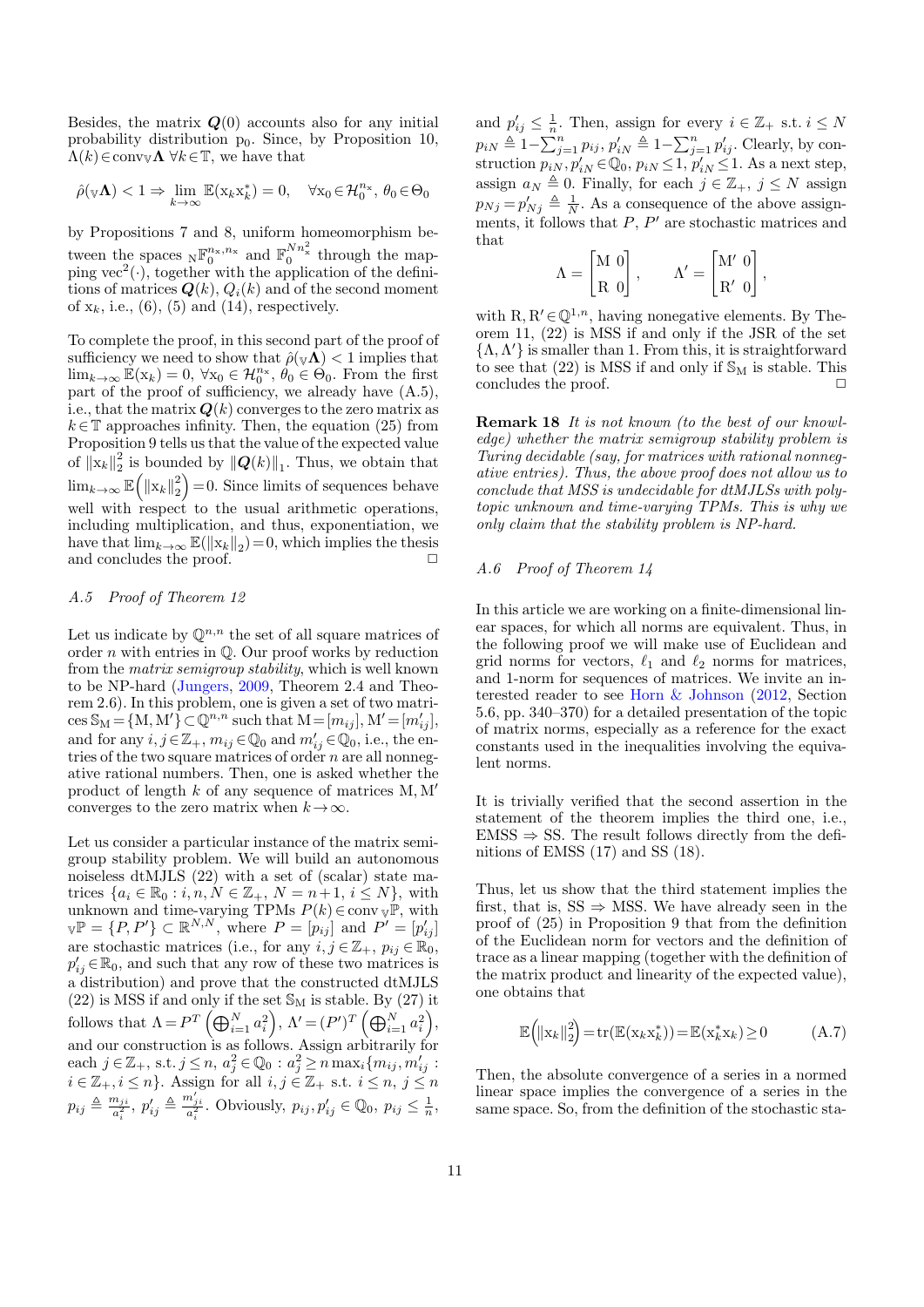Besides, the matrix  $Q(0)$  accounts also for any initial probability distribution  $p_0$ . Since, by Proposition 10,  $\Lambda(k) \in \text{conv}_{\mathbb{V}} \Lambda \ \forall k \in \mathbb{T}$ , we have that

$$
\hat{\rho}(\mathbf{v}\Lambda) < 1 \Rightarrow \lim_{k \to \infty} \mathbb{E}(\mathbf{x}_k \mathbf{x}_k^*) = 0, \quad \forall \mathbf{x}_0 \in \mathcal{H}_0^{n_{\mathbf{x}}}, \ \theta_0 \in \Theta_0
$$

by Propositions 7 and 8, uniform homeomorphism between the spaces  $_N \mathbb{F}_0^{n_x,n_x}$  and  $\mathbb{F}_0^{N_n^2}$  through the mapping vec<sup>2</sup> $(\cdot)$ , together with the application of the definitions of matrices  $\mathbf{Q}(k)$ ,  $Q_i(k)$  and of the second moment of  $x_k$ , i.e., (6), (5) and (14), respectively.

To complete the proof, in this second part of the proof of sufficiency we need to show that  $\hat{\rho}(\mathbf{v}\Lambda) < 1$  implies that  $\lim_{k\to\infty} E(x_k) = 0, \,\forall x_0 \in \mathcal{H}_0^{n_x}, \,\theta_0 \in \Theta_0.$  From the first part of the proof of sufficiency, we already have (A.5), i.e., that the matrix  $\mathbf{Q}(k)$  converges to the zero matrix as  $k \in \mathbb{T}$  approaches infinity. Then, the equation (25) from Proposition 9 tells us that the value of the expected value of  $\left\Vert \mathbf{x}_{k}\right\Vert _{2}^{2}$  is bounded by  $\left\Vert \boldsymbol{Q}(k)\right\Vert _{1}$ . Thus, we obtain that  $\lim_{k\to\infty} \mathbb{E}\left(\|\mathbf{x}_k\|_2^2\right) = 0.$  Since limits of sequences behave well with respect to the usual arithmetic operations, including multiplication, and thus, exponentiation, we have that  $\lim_{k\to\infty} \mathbb{E}(\|\mathbf{x}_k\|_2) = 0$ , which implies the thesis and concludes the proof.  $\Box$ 

# A.5 Proof of Theorem 12

Let us indicate by  $\mathbb{Q}^{n,n}$  the set of all square matrices of order  $n$  with entries in  $\mathbb Q$ . Our proof works by reduction from the matrix semigroup stability, which is well known to be NP-hard [\(Jungers,](#page-14-20) [2009,](#page-14-20) Theorem 2.4 and Theorem 2.6). In this problem, one is given a set of two matrices  $\mathbb{S}_{M} = \{M, M'\}\subset \mathbb{Q}^{n,n}$  such that  $M = [m_{ij}], M' = [m'_{ij}],$ and for any  $i, j \in \mathbb{Z}_+$ ,  $m_{ij} \in \mathbb{Q}_0$  and  $m'_{ij} \in \mathbb{Q}_0$ , i.e., the entries of the two square matrices of order  $n$  are all nonnegative rational numbers. Then, one is asked whether the product of length  $k$  of any sequence of matrices  $M, M'$ converges to the zero matrix when  $k \to \infty$ .

Let us consider a particular instance of the matrix semigroup stability problem. We will build an autonomous noiseless dtMJLS (22) with a set of (scalar) state matrices  $\{a_i \in \mathbb{R}_0 : i, n, N \in \mathbb{Z}_+, N = n+1, i \leq N\}$ , with unknown and time-varying TPMs  $P(k) \in \overline{\text{conv } y}$ , with  $\mathbb{E}_{\mathbb{V}}\mathbb{P} = \{P, P'\} \subset \mathbb{R}^{N,N}$ , where  $P = [p_{ij}]$  and  $P' = [p'_{ij}]$ are stochastic matrices (i.e., for any  $i, j \in \mathbb{Z}_+, p_{ij} \in \mathbb{R}_0$ ,  $p'_{ij} \in \mathbb{R}_0$ , and such that any row of these two matrices is a distribution) and prove that the constructed dtMJLS (22) is MSS if and only if the set  $\mathbb{S}_{M}$  is stable. By (27) it follows that  $\Lambda = P^T \left( \bigoplus_{i=1}^N a_i^2 \right)$ ,  $\Lambda' = (P')^T \left( \bigoplus_{i=1}^N a_i^2 \right)$ , and our construction is as follows. Assign arbitrarily for each  $j \in \mathbb{Z}_+$ , s.t.  $j \le n$ ,  $a_j^2 \in \mathbb{Q}_0 : a_j^2 \ge n \max_i \{m_{ij}, m'_{ij} :$  $i \in \mathbb{Z}_+, i \leq n$ . Assign for all  $i, j \in \mathbb{Z}_+$  s.t.  $i \leq n, j \leq n$  $p_{ij} \triangleq \frac{m_{ji}}{a^2}$  $\frac{n_{ji}}{a_i^2}$ ,  $p'_{ij} \triangleq \frac{m'_{ji}}{a_i^2}$ . Obviously,  $p_{ij}, p'_{ij} \in \mathbb{Q}_0$ ,  $p_{ij} \le \frac{1}{n}$ ,

and  $p'_{ij} \leq \frac{1}{n}$ . Then, assign for every  $i \in \mathbb{Z}_+$  s.t.  $i \leq N$  $p_{iN} \triangleq 1 - \sum_{j=1}^{n} p_{ij}, p'_{iN} \triangleq 1 - \sum_{j=1}^{n} p'_{ij}$ . Clearly, by construction  $p_{iN}, p'_{iN} \in \mathbb{Q}_0$ ,  $p_{iN} \leq 1, p'_{iN} \leq 1$ . As a next step, assign  $a_N \triangleq 0$ . Finally, for each  $j \in \mathbb{Z}_+$ ,  $j \leq N$  assign  $p_{Nj} = p'_{Nj} \triangleq \frac{1}{N}$ . As a consequence of the above assignments, it follows that  $P, P'$  are stochastic matrices and that

$$
\Lambda = \begin{bmatrix} M & 0 \\ R & 0 \end{bmatrix}, \qquad \Lambda' = \begin{bmatrix} M' & 0 \\ R' & 0 \end{bmatrix},
$$

with  $R, R' \in \mathbb{Q}^{1,n}$ , having nonegative elements. By Theorem 11, (22) is MSS if and only if the JSR of the set  $\{\Lambda, \Lambda'\}$  is smaller than 1. From this, it is straightforward to see that  $(22)$  is MSS if and only if  $\mathcal{S}_{M}$  is stable. This concludes the proof.  $\Box$ 

Remark 18 It is not known (to the best of our knowledge) whether the matrix semigroup stability problem is Turing decidable (say, for matrices with rational nonnegative entries). Thus, the above proof does not allow us to conclude that MSS is undecidable for dtMJLSs with polytopic unknown and time-varying TPMs. This is why we only claim that the stability problem is NP-hard.

## A.6 Proof of Theorem 14

In this article we are working on a finite-dimensional linear spaces, for which all norms are equivalent. Thus, in the following proof we will make use of Euclidean and grid norms for vectors,  $\ell_1$  and  $\ell_2$  norms for matrices, and 1-norm for sequences of matrices. We invite an interested reader to see [Horn & Johnson](#page-14-16) [\(2012,](#page-14-16) Section 5.6, pp. 340–370) for a detailed presentation of the topic of matrix norms, especially as a reference for the exact constants used in the inequalities involving the equivalent norms.

It is trivially verified that the second assertion in the statement of the theorem implies the third one, i.e.,  $EMSS \Rightarrow SS$ . The result follows directly from the definitions of EMSS (17) and SS (18).

Thus, let us show that the third statement implies the first, that is,  $SS \Rightarrow MSS$ . We have already seen in the proof of (25) in Proposition 9 that from the definition of the Euclidean norm for vectors and the definition of trace as a linear mapping (together with the definition of the matrix product and linearity of the expected value), one obtains that

$$
\mathbb{E}(|x_k|_2^2) = \text{tr}(\mathbb{E}(x_k x_k^*)) = \mathbb{E}(x_k^* x_k) \ge 0 \tag{A.7}
$$

Then, the absolute convergence of a series in a normed linear space implies the convergence of a series in the same space. So, from the definition of the stochastic sta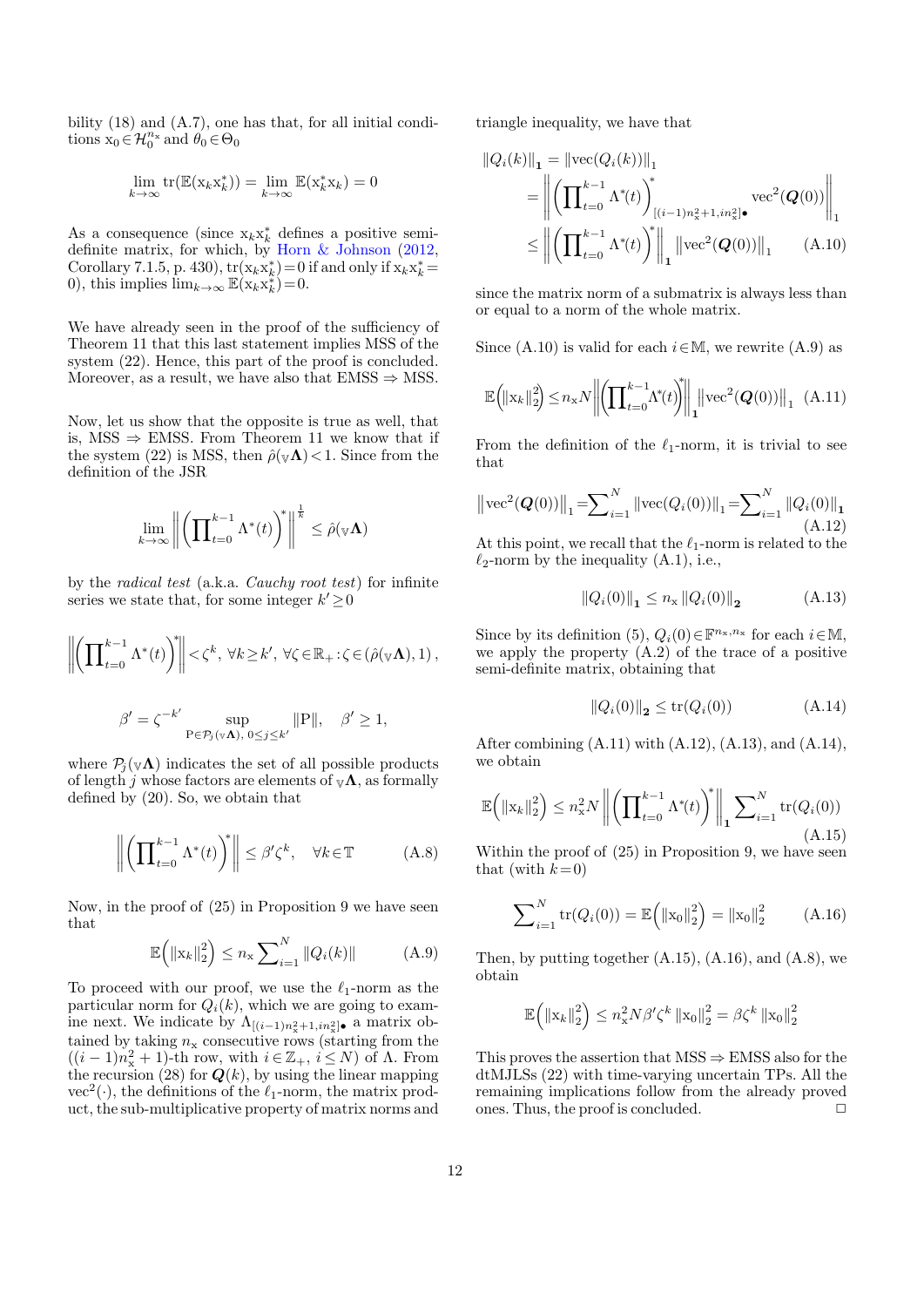bility (18) and (A.7), one has that, for all initial conditions  $x_0 \in \mathcal{H}_0^{n_x}$  and  $\theta_0 \in \Theta_0$ 

$$
\lim_{k \to \infty} \operatorname{tr}(\mathbb{E}(\mathbf{x}_k \mathbf{x}_k^*)) = \lim_{k \to \infty} \mathbb{E}(\mathbf{x}_k^* \mathbf{x}_k) = 0
$$

As a consequence (since  $x_k x_k^*$  defines a positive semi-definite matrix, for which, by [Horn & Johnson](#page-14-16) [\(2012,](#page-14-16) Corollary 7.1.5, p. 430),  $tr(x_k x_k^*) = 0$  if and only if  $x_k x_k^* =$ 0), this implies  $\lim_{k\to\infty} \mathbb{E}(\mathbf{x}_k \mathbf{x}_k^*) = 0.$ 

We have already seen in the proof of the sufficiency of Theorem 11 that this last statement implies MSS of the system (22). Hence, this part of the proof is concluded. Moreover, as a result, we have also that  $EMSS \Rightarrow MSS$ .

Now, let us show that the opposite is true as well, that is, MSS  $\Rightarrow$  EMSS. From Theorem 11 we know that if the system (22) is MSS, then  $\hat{\rho}(\mathbf{v}\mathbf{\Lambda})$  < 1. Since from the definition of the JSR

$$
\lim_{k \to \infty} \left\| \left( \prod_{t=0}^{k-1} \Lambda^*(t) \right)^* \right\|^{1 \over k} \le \hat{\rho}(\mathbb{V}\Lambda)
$$

by the radical test (a.k.a. Cauchy root test) for infinite series we state that, for some integer  $k' \geq 0$ 

$$
\left\| \left( \prod_{t=0}^{k-1} \Lambda^*(t) \right)^* \right\| < \zeta^k, \ \forall k \ge k', \ \forall \zeta \in \mathbb{R}_+ : \zeta \in (\hat{\rho}(\mathbf{v}\Lambda), 1),
$$
\n
$$
\beta' = \zeta^{-k'} \sup_{\mathbf{P} \in \mathcal{P}_j(\mathbf{v}\Lambda), \ 0 \le j \le k'} \|\mathbf{P}\|, \quad \beta' \ge 1,
$$

where  $\mathcal{P}_i(\mathbf{v}\Lambda)$  indicates the set of all possible products of length j whose factors are elements of  $\mathbb{V}\Lambda$ , as formally defined by (20). So, we obtain that

$$
\left\| \left( \prod_{t=0}^{k-1} \Lambda^*(t) \right)^* \right\| \le \beta' \zeta^k, \quad \forall k \in \mathbb{T} \tag{A.8}
$$

Now, in the proof of (25) in Proposition 9 we have seen that

$$
\mathbb{E}\left(\left\|\mathbf{x}_{k}\right\|_{2}^{2}\right) \leq n_{\mathbf{x}} \sum_{i=1}^{N} \|Q_{i}(k)\| \tag{A.9}
$$

To proceed with our proof, we use the  $\ell_1$ -norm as the particular norm for  $Q_i(k)$ , which we are going to examine next. We indicate by  $\Lambda_{[(i-1)n_x^2+1,in_x^2]}$  a matrix obtained by taking  $n_x$  consecutive rows (starting from the  $((i-1)n_x^2+1)$ -th row, with  $i \in \mathbb{Z}_+, i \leq N$ ) of  $\Lambda$ . From the recursion (28) for  $\mathbf{Q}(k)$ , by using the linear mapping  $vec^2(\cdot)$ , the definitions of the  $\ell_1$ -norm, the matrix product, the sub-multiplicative property of matrix norms and triangle inequality, we have that

$$
||Q_i(k)||_1 = ||\text{vec}(Q_i(k))||_1
$$
  
\n
$$
= \left\| \left( \prod_{t=0}^{k-1} \Lambda^*(t) \right)_{[(i-1)n_x^2 + 1, in_x^2] \bullet}^* \text{vec}^2(\mathbf{Q}(0)) \right\|_1
$$
  
\n
$$
\leq \left\| \left( \prod_{t=0}^{k-1} \Lambda^*(t) \right) \right\|_1 ||\text{vec}^2(\mathbf{Q}(0))||_1 \qquad (A.10)
$$

since the matrix norm of a submatrix is always less than or equal to a norm of the whole matrix.

Since (A.10) is valid for each  $i \in \mathbb{M}$ , we rewrite (A.9) as

$$
\mathbb{E}(|x_k||_2^2) \le n_x N \left\| \left( \prod_{t=0}^{k-1} \Lambda^*(t) \right)^* \right\|_1 \left\| \text{vec}^2(Q(0)) \right\|_1 \tag{A.11}
$$

From the definition of the  $\ell_1$ -norm, it is trivial to see that

$$
\left\| \text{vec}^2(Q(0)) \right\|_1 = \sum_{i=1}^N \left\| \text{vec}(Q_i(0)) \right\|_1 = \sum_{i=1}^N \left\| Q_i(0) \right\|_1
$$
\n(A.12)

At this point, we recall that the  $\ell_1$ -norm is related to the  $\ell_2$ -norm by the inequality (A.1), i.e.,

$$
||Q_i(0)||_1 \le n_x ||Q_i(0)||_2 \tag{A.13}
$$

Since by its definition (5),  $Q_i(0) \in \mathbb{F}^{n_x,n_x}$  for each  $i \in \mathbb{M}$ , we apply the property (A.2) of the trace of a positive semi-definite matrix, obtaining that

$$
||Q_i(0)||_{2} \le \text{tr}(Q_i(0))
$$
 (A.14)

After combining (A.11) with (A.12), (A.13), and (A.14), we obtain

$$
\mathbb{E}\left(\left\|\mathbf{x}_{k}\right\|_{2}^{2}\right) \leq n_{\mathbf{x}}^{2} N \left\|\left(\prod_{t=0}^{k-1} \Lambda^{*}(t)\right)^{*}\right\|_{1} \sum_{i=1}^{N} \text{tr}(Q_{i}(0))\tag{A.15}
$$

Within the proof of (25) in Proposition 9, we have seen that (with  $k = 0$ )

$$
\sum_{i=1}^{N} \text{tr}(Q_i(0)) = \mathbb{E}(|x_0|_2^2) = ||x_0||_2^2 \qquad (A.16)
$$

Then, by putting together  $(A.15)$ ,  $(A.16)$ , and  $(A.8)$ , we obtain

$$
\mathbb{E}\left(\left\|\mathbf{x}_{k}\right\|_{2}^{2}\right) \leq n_{\mathbf{x}}^{2} N \beta' \zeta^{k} \left\|\mathbf{x}_{0}\right\|_{2}^{2} = \beta \zeta^{k} \left\|\mathbf{x}_{0}\right\|_{2}^{2}
$$

This proves the assertion that  $MSS \Rightarrow EMSS$  also for the dtMJLSs (22) with time-varying uncertain TPs. All the remaining implications follow from the already proved ones. Thus, the proof is concluded.  $\Box$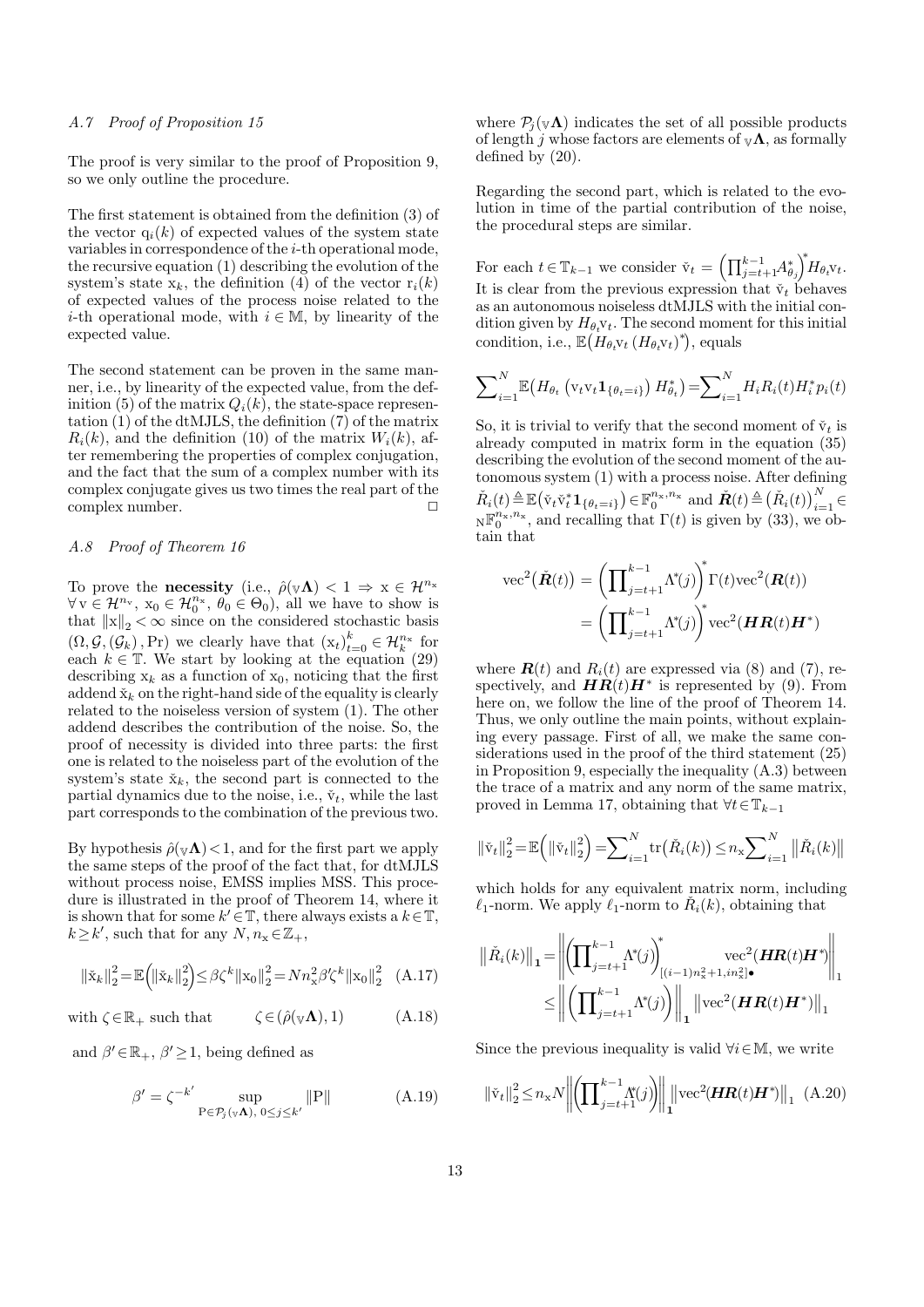## A.7 Proof of Proposition 15

The proof is very similar to the proof of Proposition 9, so we only outline the procedure.

The first statement is obtained from the definition (3) of the vector  $q_i(k)$  of expected values of the system state variables in correspondence of the i-th operational mode, the recursive equation (1) describing the evolution of the system's state  $x_k$ , the definition (4) of the vector  $r_i(k)$ of expected values of the process noise related to the *i*-th operational mode, with  $i \in \mathbb{M}$ , by linearity of the expected value.

The second statement can be proven in the same manner, i.e., by linearity of the expected value, from the definition (5) of the matrix  $Q_i(k)$ , the state-space representation (1) of the dtMJLS, the definition (7) of the matrix  $R_i(k)$ , and the definition (10) of the matrix  $W_i(k)$ , after remembering the properties of complex conjugation, and the fact that the sum of a complex number with its complex conjugate gives us two times the real part of the complex number.

# A.8 Proof of Theorem 16

To prove the **necessity** (i.e.,  $\hat{\rho}(\mathbf{v}\Lambda) < 1 \Rightarrow \mathbf{x} \in \mathcal{H}^{n_{\mathbf{x}}}$  $\forall v \in \mathcal{H}^{n_v}, x_0 \in \mathcal{H}_0^{n_x}, \theta_0 \in \Theta_0$ , all we have to show is that  $\|x\|_2 < \infty$  since on the considered stochastic basis  $(\Omega, \mathcal{G}, (\mathcal{G}_k), \Pr)$  we clearly have that  $(x_t)_{t=0}^k \in \mathcal{H}_k^{n_x}$  for each  $k \in \mathbb{T}$ . We start by looking at the equation (29) describing  $x_k$  as a function of  $x_0$ , noticing that the first addend  $\check{x}_k$  on the right-hand side of the equality is clearly related to the noiseless version of system (1). The other addend describes the contribution of the noise. So, the proof of necessity is divided into three parts: the first one is related to the noiseless part of the evolution of the system's state  $\check{\mathbf{x}}_k$ , the second part is connected to the partial dynamics due to the noise, i.e.,  $\check{\mathbf{v}}_t$ , while the last part corresponds to the combination of the previous two.

By hypothesis  $\hat{\rho}(\mathbf{v}\mathbf{\Lambda}) < 1$ , and for the first part we apply the same steps of the proof of the fact that, for dtMJLS without process noise, EMSS implies MSS. This procedure is illustrated in the proof of Theorem 14, where it is shown that for some  $k' \in \mathbb{T}$ , there always exists a  $k \in \mathbb{T}$ ,  $k \geq k'$ , such that for any  $N, n_x \in \mathbb{Z}_+,$ 

$$
\|\check{\mathbf{x}}_k\|_2^2 = \mathbb{E}\Big(\|\check{\mathbf{x}}_k\|_2^2\Big) \le \beta \zeta^k \|\mathbf{x}_0\|_2^2 = N n_x^2 \beta' \zeta^k \|\mathbf{x}_0\|_2^2 \quad (A.17)
$$

with  $\zeta \in \mathbb{R}_+$  such that  $\zeta \in (\hat{\rho}(\mathbf{v}\mathbf{\Lambda}), 1)$  (A.18)

and  $\beta' \in \mathbb{R}_+$ ,  $\beta' \geq 1$ , being defined as

$$
\beta' = \zeta^{-k'} \sup_{P \in \mathcal{P}_j(\mathbf{v}\Lambda), 0 \le j \le k'} \|P\|
$$
 (A.19)

where  $\mathcal{P}_i(\mathbf{v}\Lambda)$  indicates the set of all possible products of length j whose factors are elements of  $\mathbb{V}\Lambda$ , as formally defined by (20).

Regarding the second part, which is related to the evolution in time of the partial contribution of the noise, the procedural steps are similar.

For each  $t \in \mathbb{T}_{k-1}$  we consider  $\check{\mathbf{v}}_t = \left(\prod_{j=t+1}^{k-1} A_{\theta_j}^*\right)^* H_{\theta_t} \mathbf{v}_t$ . It is clear from the previous expression that  $\check{v}_t$  behaves as an autonomous noiseless dtMJLS with the initial condition given by  $H_{\theta_t}v_t$ . The second moment for this initial condition, i.e.,  $\mathbb{E}\left(H_{\theta_t}v_t(H_{\theta_t}v_t)^*\right)$ , equals

$$
\sum_{i=1}^{N} \mathbb{E}\left(H_{\theta_t} \left(\mathbf{v}_t \mathbf{v}_t \mathbf{1}_{\{\theta_t = i\}}\right) H_{\theta_t}^*\right) = \sum_{i=1}^{N} H_i R_i(t) H_i^* p_i(t)
$$

So, it is trivial to verify that the second moment of  $\check{v}_t$  is already computed in matrix form in the equation (35) describing the evolution of the second moment of the autonomous system (1) with a process noise. After defining  $\check{R}_i(t) \triangleq \mathbb{E}(\check{\mathbf{v}}_t \check{\mathbf{v}}_t^* \mathbf{1}_{\{\theta_t=i\}}) \in \mathbb{F}_0^{n_x, n_x}$  and  $\check{\mathbf{R}}(t) \triangleq (\check{R}_i(t))_{i=1}^N \in$  $N\mathbb{F}_0^{n_x,n_x}$ , and recalling that  $\Gamma(t)$  is given by (33), we obtain that

$$
\text{vec}^2(\check{\boldsymbol{R}}(t)) = \left(\prod_{j=t+1}^{k-1} \Lambda^*(j)\right)^* \Gamma(t) \text{vec}^2(\boldsymbol{R}(t))
$$

$$
= \left(\prod_{j=t+1}^{k-1} \Lambda^*(j)\right)^* \text{vec}^2(\boldsymbol{H}\boldsymbol{R}(t)\boldsymbol{H}^*)
$$

where  $\mathbf{R}(t)$  and  $R_i(t)$  are expressed via (8) and (7), respectively, and  $\mathbf{HR}(t)H^*$  is represented by (9). From here on, we follow the line of the proof of Theorem 14. Thus, we only outline the main points, without explaining every passage. First of all, we make the same considerations used in the proof of the third statement (25) in Proposition 9, especially the inequality (A.3) between the trace of a matrix and any norm of the same matrix, proved in Lemma 17, obtaining that  $\forall t \in \mathbb{T}_{k-1}$ 

$$
\|\check{\mathbf{v}}_t\|_2^2 = \mathbb{E}\Big(\|\check{\mathbf{v}}_t\|_2^2\Big) = \sum_{i=1}^N \text{tr}\big(\check{R}_i(k)\big) \le n_\mathbf{x} \sum_{i=1}^N \left\|\check{R}_i(k)\right\|
$$

which holds for any equivalent matrix norm, including  $\ell_1$ -norm. We apply  $\ell_1$ -norm to  $\check{R}_i(k)$ , obtaining that

$$
\|\check{R}_{i}(k)\|_{1} = \left\| \left( \prod_{j=t+1}^{k-1} \Lambda^{*}(j) \right)_{[(i-1)n_{\mathbf{x}}^{2}+1, in_{\mathbf{x}}^{2}] \bullet}^{\mathbf{v} \bullet \mathbf{c}^{2}} \left( \mathbf{H} \mathbf{R}(t) \mathbf{H}^{*} \right) \right\|_{1}
$$

$$
\leq \left\| \left( \prod_{j=t+1}^{k-1} \Lambda^{*}(j) \right) \right\|_{1} \left\| \text{vec}^{2} (\mathbf{H} \mathbf{R}(t) \mathbf{H}^{*}) \right\|_{1}
$$

Since the previous inequality is valid  $\forall i \in \mathbb{M}$ , we write

$$
\|\check{\mathbf{v}}_t\|_2^2 \le n_x N \left\| \left( \prod_{j=t+1}^{k-1} \Lambda_j^*(j) \right) \right\|_1 \left\| \text{vec}^2(\mathbf{H} \mathbf{R}(t) \mathbf{H}^*) \right\|_1 \tag{A.20}
$$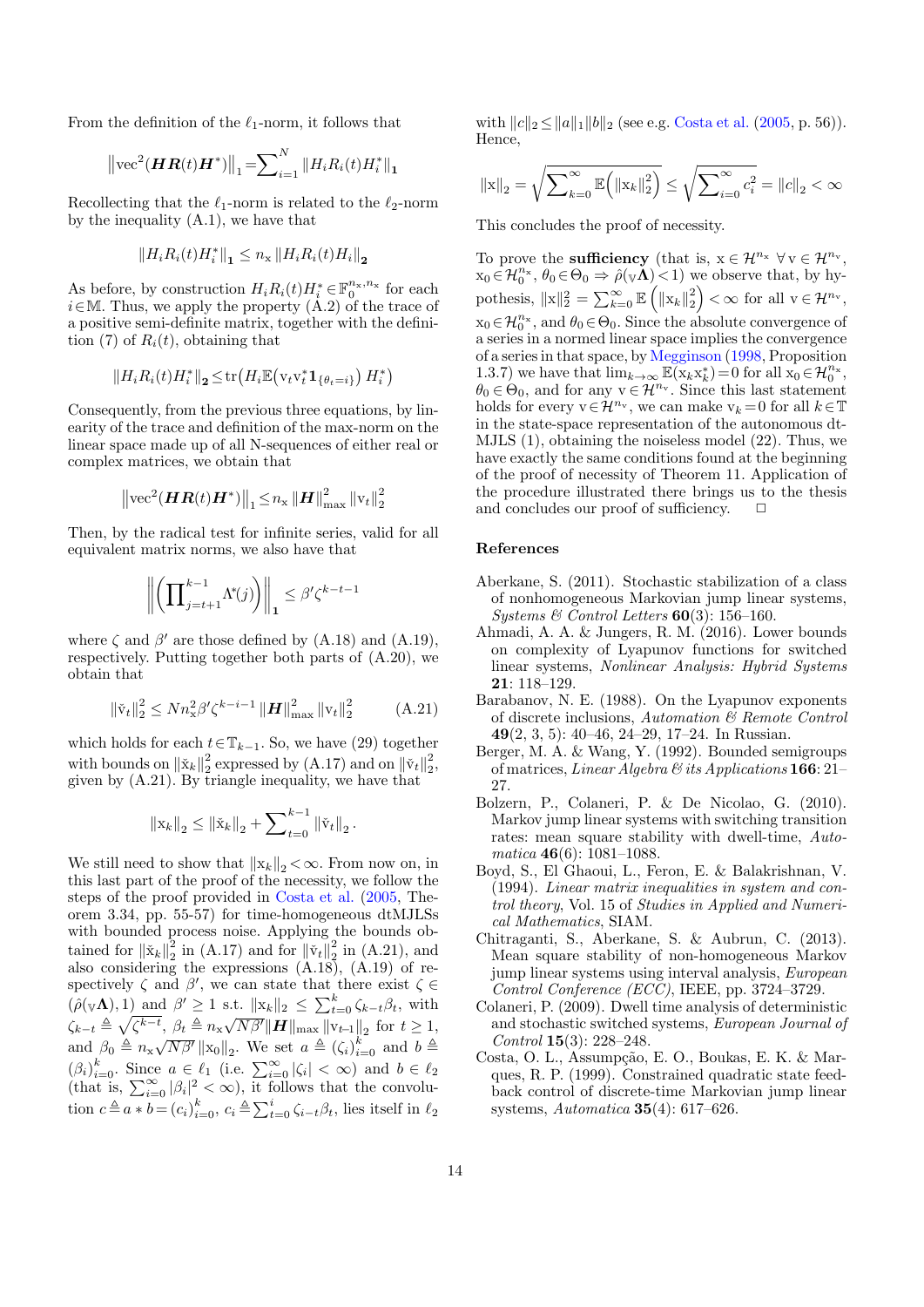From the definition of the  $\ell_1$ -norm, it follows that

$$
\left\| \text{vec}^2(\mathbf{H}\mathbf{R}(t)\mathbf{H}^*) \right\|_1 = \sum_{i=1}^N \left\| H_i R_i(t) H_i^* \right\|_1
$$

Recollecting that the  $\ell_1$ -norm is related to the  $\ell_2$ -norm by the inequality (A.1), we have that

$$
||H_i R_i(t) H_i^*||_1 \le n \times ||H_i R_i(t) H_i||_2
$$

As before, by construction  $H_i R_i(t) H_i^* \in \mathbb{F}_0^{n_x, n_x}$  for each  $i \in \mathbb{M}$ . Thus, we apply the property  $(A.2)$  of the trace of a positive semi-definite matrix, together with the definition (7) of  $R_i(t)$ , obtaining that

$$
\|H_i R_i(t) H_i^*\|_2 \le \text{tr}\left(H_i \mathbb{E}\left(\mathbf{v}_t \mathbf{v}_t^* \mathbf{1}_{\{\theta_t=i\}}\right) H_i^*\right)
$$

Consequently, from the previous three equations, by linearity of the trace and definition of the max-norm on the linear space made up of all N-sequences of either real or complex matrices, we obtain that

$$
\left\| \mathrm{vec}^2(\bm{H} \bm{R}(t) \bm{H}^*) \right\|_1 \leq n_{\mathrm{x}} \left\| \bm{H} \right\|_{\max}^2 \left\| \mathrm{v}_t \right\|_2^2
$$

Then, by the radical test for infinite series, valid for all equivalent matrix norms, we also have that

$$
\left\| \left( \prod_{j=t+1}^{k-1} \Lambda^*(j) \right) \right\|_1 \leq \beta' \zeta^{k-t-1}
$$

where  $\zeta$  and  $\beta'$  are those defined by (A.18) and (A.19), respectively. Putting together both parts of (A.20), we obtain that

$$
\left\|\check{\mathbf{v}}_{t}\right\|_{2}^{2} \leq N n_{\mathbf{x}}^{2} \beta' \zeta^{k-i-1} \left\|\mathbf{H}\right\|_{\max}^{2} \left\|\mathbf{v}_{t}\right\|_{2}^{2} \tag{A.21}
$$

which holds for each  $t \in \mathbb{T}_{k-1}$ . So, we have (29) together with bounds on  $\|\check{\mathbf{x}}_k\|_2^2$  expressed by  $(A.17)$  and on  $\|\check{\mathbf{v}}_t\|_2^2$ , given by (A.21). By triangle inequality, we have that

$$
\|\mathbf{x}_k\|_2 \le \|\check{\mathbf{x}}_k\|_2 + \sum_{t=0}^{k-1} \|\check{\mathbf{v}}_t\|_2.
$$

We still need to show that  $||x_k||_2 < \infty$ . From now on, in this last part of the proof of the necessity, we follow the steps of the proof provided in [Costa et al.](#page-14-0) [\(2005,](#page-14-0) Theorem 3.34, pp. 55-57) for time-homogeneous dtMJLSs with bounded process noise. Applying the bounds obtained for  $\|\check{\mathbf{x}}_k\|_2^2$  in (A.17) and for  $\|\check{\mathbf{v}}_t\|_2^2$  in (A.21), and also considering the expressions (A.18), (A.19) of respectively  $\zeta$  and  $\beta'$ , we can state that there exist  $\zeta \in$  $(\hat{\rho}(\mathbf{v}\mathbf{\Lambda}), 1)$  and  $\beta' \geq 1$  s.t.  $\|\mathbf{x}_k\|_2 \leq \sum_{t=0}^k \zeta_{k-t} \beta_t$ , with  $\zeta_{k-t} \triangleq \sqrt{\zeta^{k-t}}, \ \beta_t \triangleq n_x \sqrt{N\beta'} ||\mathbf{H}||_{\text{max}} ||v_{t-1}||_2 \text{ for } t \geq 1,$ and  $\beta_0 \triangleq n_x \sqrt{N\beta'} \|x_0\|_2$ . We set  $a \triangleq (\zeta_i)_{i=0}^k$  and  $b \triangleq$  $(\beta_i)_{i=0}^k$ . Since  $a \in \ell_1$  (i.e.  $\sum_{i=0}^{\infty} |\zeta_i| < \infty$ ) and  $b \in \ell_2$ (that is,  $\sum_{i=0}^{\infty} |\beta_i|^2 < \infty$ ), it follows that the convolution  $c \triangleq a * b = (c_i)_{i=0}^k$ ,  $c_i \triangleq \sum_{t=0}^i \zeta_{i-t} \beta_t$ , lies itself in  $\ell_2$ 

with  $||c||_2 \le ||a||_1 ||b||_2$  (see e.g. [Costa et al.](#page-14-0) [\(2005,](#page-14-0) p. 56)). Hence,

$$
||\mathbf{x}||_2 = \sqrt{\sum_{k=0}^{\infty} \mathbb{E}(|\mathbf{x}_k||_2^2)} \le \sqrt{\sum_{i=0}^{\infty} c_i^2} = ||c||_2 < \infty
$$

This concludes the proof of necessity.

To prove the **sufficiency** (that is,  $x \in \mathcal{H}^{n_x} \ \forall \, v \in \mathcal{H}^{n_v}$ ,  $x_0 \in \mathcal{H}_0^{n_x}, \theta_0 \in \Theta_0 \Rightarrow \hat{\rho}(\mathbf{X}) > 1$  we observe that, by hy-0 pothesis,  $||x||_2^2 = \sum_{k=0}^{\infty} \mathbb{E} \left( ||x_k||_2^2 \right) < \infty$  for all  $v \in \mathcal{H}^{n_v}$ ,  $x_0 \in \mathcal{H}_0^{n_x}$ , and  $\theta_0 \in \Theta_0$ . Since the absolute convergence of a series in a normed linear space implies the convergence of a series in that space, by [Megginson](#page-14-27) [\(1998,](#page-14-27) Proposition 1.3.7) we have that  $\lim_{k\to\infty} \mathbb{E}(\mathbf{x}_k \mathbf{x}_k^*) = 0$  for all  $\mathbf{x}_0 \in \mathcal{H}_0^{n_{\mathbf{x}}}$ ,  $\theta_0 \in \Theta_0$ , and for any  $v \in \mathcal{H}^{n_v}$ . Since this last statement holds for every  $v \in \mathcal{H}^{n_v}$ , we can make  $v_k = 0$  for all  $k \in \mathbb{T}$ in the state-space representation of the autonomous dt-MJLS (1), obtaining the noiseless model (22). Thus, we have exactly the same conditions found at the beginning of the proof of necessity of Theorem 11. Application of the procedure illustrated there brings us to the thesis and concludes our proof of sufficiency.  $\Box$ 

## References

- <span id="page-13-4"></span>Aberkane, S. (2011). Stochastic stabilization of a class of nonhomogeneous Markovian jump linear systems, Systems  $\mathcal B$  Control Letters **60**(3): 156–160.
- <span id="page-13-8"></span>Ahmadi, A. A. & Jungers, R. M. (2016). Lower bounds on complexity of Lyapunov functions for switched linear systems, Nonlinear Analysis: Hybrid Systems 21: 118–129.
- <span id="page-13-6"></span>Barabanov, N. E. (1988). On the Lyapunov exponents of discrete inclusions, Automation & Remote Control 49(2, 3, 5): 40–46, 24–29, 17–24. In Russian.
- <span id="page-13-7"></span>Berger, M. A. & Wang, Y. (1992). Bounded semigroups of matrices, Linear Algebra  $\mathcal B$  its Applications **166**: 21– 27.
- <span id="page-13-2"></span>Bolzern, P., Colaneri, P. & De Nicolao, G. (2010). Markov jump linear systems with switching transition rates: mean square stability with dwell-time, Automatica 46(6): 1081–1088.
- <span id="page-13-3"></span>Boyd, S., El Ghaoui, L., Feron, E. & Balakrishnan, V. (1994). Linear matrix inequalities in system and control theory, Vol. 15 of Studies in Applied and Numerical Mathematics, SIAM.
- <span id="page-13-5"></span>Chitraganti, S., Aberkane, S. & Aubrun, C. (2013). Mean square stability of non-homogeneous Markov jump linear systems using interval analysis, European Control Conference (ECC), IEEE, pp. 3724–3729.
- <span id="page-13-1"></span>Colaneri, P. (2009). Dwell time analysis of deterministic and stochastic switched systems, European Journal of Control 15(3): 228–248.
- <span id="page-13-0"></span>Costa, O. L., Assumpção, E. O., Boukas, E. K. & Marques, R. P. (1999). Constrained quadratic state feedback control of discrete-time Markovian jump linear systems, Automatica 35(4): 617–626.